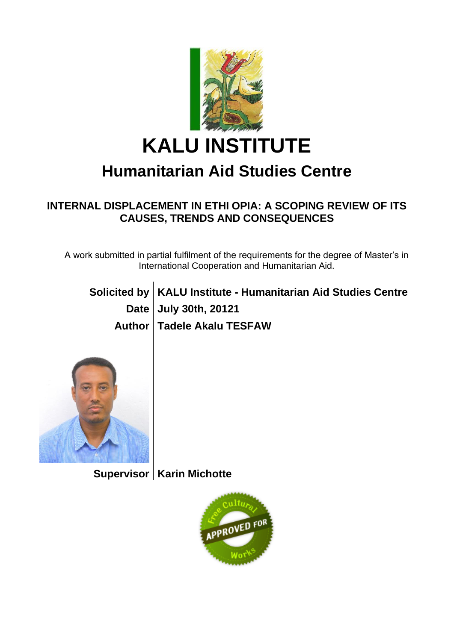

# **KALU INSTITUTE**

## **Humanitarian Aid Studies Centre**

#### **INTERNAL DISPLACEMENT IN ETHI OPIA: A SCOPING REVIEW OF ITS CAUSES, TRENDS AND CONSEQUENCES**

A work submitted in partial fulfilment of the requirements for the degree of Master's in International Cooperation and Humanitarian Aid.

| Solicited by   KALU Institute - Humanitarian Aid Studies Centre |
|-----------------------------------------------------------------|
| Date July 30th, 20121                                           |
| Author   Tadele Akalu TESFAW                                    |



**Supervisor Karin Michotte**

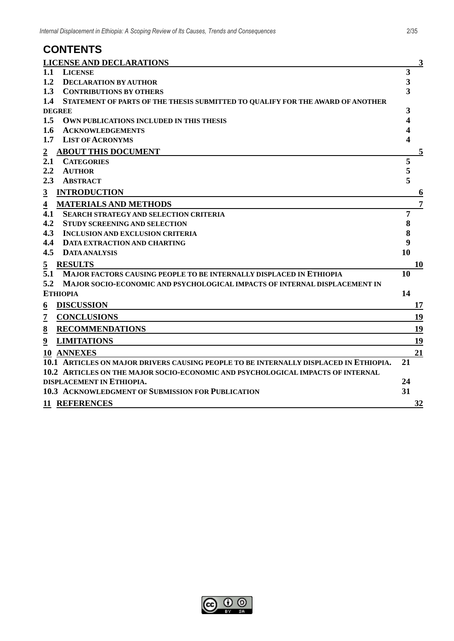#### **CONTENTS**

| <b>LICENSE AND DECLARATIONS</b>                                                       | $\mathbf{3}$   |
|---------------------------------------------------------------------------------------|----------------|
| 1.1<br><b>LICENSE</b>                                                                 | 3              |
| 1.2<br><b>DECLARATION BY AUTHOR</b>                                                   | 3              |
| 1.3<br><b>CONTRIBUTIONS BY OTHERS</b>                                                 | 3              |
| 1.4<br>STATEMENT OF PARTS OF THE THESIS SUBMITTED TO QUALIFY FOR THE AWARD OF ANOTHER |                |
| <b>DEGREE</b>                                                                         | 3              |
| 1.5<br>OWN PUBLICATIONS INCLUDED IN THIS THESIS                                       | 4              |
| 1.6<br><b>ACKNOWLEDGEMENTS</b>                                                        |                |
| 1.7<br><b>LIST OF ACRONYMS</b>                                                        | 4              |
| <b>ABOUT THIS DOCUMENT</b>                                                            | $\overline{5}$ |
| 2.1<br><b>CATEGORIES</b>                                                              | 5              |
| 2.2<br><b>AUTHOR</b>                                                                  | 5              |
| 2.3<br><b>ABSTRACT</b>                                                                | 5              |
| <b>INTRODUCTION</b><br>$\mathbf{3}$                                                   | 6              |
| <b>MATERIALS AND METHODS</b><br>$\overline{\mathbf{4}}$                               | 7              |
| 4.1<br><b>SEARCH STRATEGY AND SELECTION CRITERIA</b>                                  | 7              |
| 4.2<br><b>STUDY SCREENING AND SELECTION</b>                                           | 8              |
| 4.3<br><b>INCLUSION AND EXCLUSION CRITERIA</b>                                        | 8              |
| 4.4<br><b>DATA EXTRACTION AND CHARTING</b>                                            | 9              |
| 4.5<br><b>DATA ANALYSIS</b>                                                           | 10             |
| <b>RESULTS</b><br>$\overline{5}$                                                      | 10             |
| 5.1<br>MAJOR FACTORS CAUSING PEOPLE TO BE INTERNALLY DISPLACED IN ETHIOPIA            | 10             |
| 5.2<br>MAJOR SOCIO-ECONOMIC AND PSYCHOLOGICAL IMPACTS OF INTERNAL DISPLACEMENT IN     |                |
| <b>ETHIOPIA</b>                                                                       | 14             |
| <b>DISCUSSION</b><br>$\underline{6}$                                                  | 17             |
| <b>CONCLUSIONS</b><br>$\overline{z}$                                                  | 19             |
| <b>RECOMMENDATIONS</b><br>8                                                           | 19             |
| <b>LIMITATIONS</b><br>9                                                               | 19             |
| 10 ANNEXES                                                                            | 21             |
| 10.1 ARTICLES ON MAJOR DRIVERS CAUSING PEOPLE TO BE INTERNALLY DISPLACED IN ETHIOPIA. | 21             |
| 10.2 ARTICLES ON THE MAJOR SOCIO-ECONOMIC AND PSYCHOLOGICAL IMPACTS OF INTERNAL       |                |
| DISPLACEMENT IN ETHIOPIA.                                                             | 24             |
| <b>10.3 ACKNOWLEDGMENT OF SUBMISSION FOR PUBLICATION</b>                              | 31             |
| <b>11 REFERENCES</b>                                                                  | 32             |

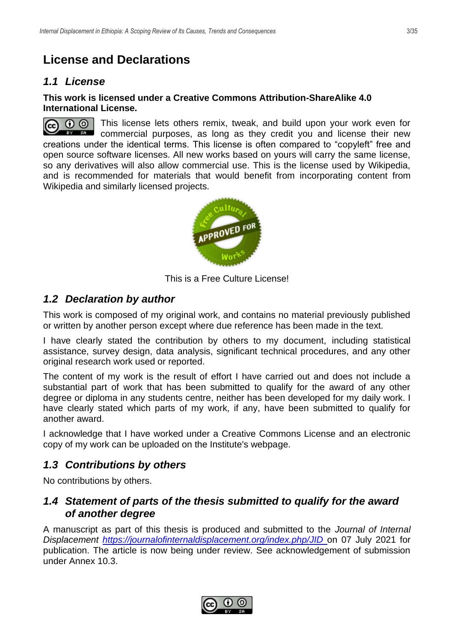## <span id="page-2-0"></span>**License and Declarations**

#### <span id="page-2-1"></span>*1.1 License*

#### **This work is licensed under a Creative Commons Attribution-ShareAlike 4.0 International License.**

 $\odot$   $\odot$ This license lets others remix, tweak, and build upon your work even for  $\left($ **EY SRU** commercial purposes, as long as they credit you and license their new creations under the identical terms. This license is often compared to "copyleft" free and open source software licenses. All new works based on yours will carry the same license, so any derivatives will also allow commercial use. This is the license used by Wikipedia, and is recommended for materials that would benefit from incorporating content from Wikipedia and similarly licensed projects.



This is a Free Culture License!

#### <span id="page-2-2"></span>*1.2 Declaration by author*

This work is composed of my original work, and contains no material previously published or written by another person except where due reference has been made in the text.

I have clearly stated the contribution by others to my document, including statistical assistance, survey design, data analysis, significant technical procedures, and any other original research work used or reported.

The content of my work is the result of effort I have carried out and does not include a substantial part of work that has been submitted to qualify for the award of any other degree or diploma in any students centre, neither has been developed for my daily work. I have clearly stated which parts of my work, if any, have been submitted to qualify for another award.

I acknowledge that I have worked under a Creative Commons License and an electronic copy of my work can be uploaded on the Institute's webpage.

#### <span id="page-2-3"></span>*1.3 Contributions by others*

No contributions by others.

#### <span id="page-2-4"></span>*1.4 Statement of parts of the thesis submitted to qualify for the award of another degree*

A manuscript as part of this thesis is produced and submitted to the *Journal of Internal Displacement<https://journalofinternaldisplacement.org/index.php/JID>* on 07 July 2021 for publication. The article is now being under review. See acknowledgement of submission under Annex 10.3.

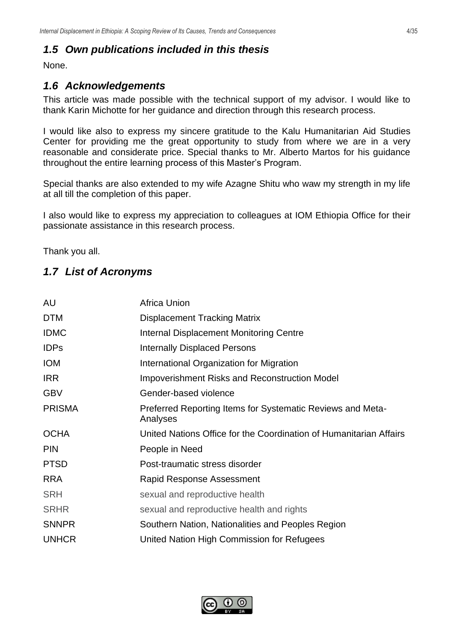#### <span id="page-3-0"></span>*1.5 Own publications included in this thesis*

<span id="page-3-1"></span>None.

#### *1.6 Acknowledgements*

This article was made possible with the technical support of my advisor. I would like to thank Karin Michotte for her guidance and direction through this research process.

I would like also to express my sincere gratitude to the Kalu Humanitarian Aid Studies Center for providing me the great opportunity to study from where we are in a very reasonable and considerate price. Special thanks to Mr. Alberto Martos for his guidance throughout the entire learning process of this Master's Program.

Special thanks are also extended to my wife Azagne Shitu who waw my strength in my life at all till the completion of this paper.

I also would like to express my appreciation to colleagues at IOM Ethiopia Office for their passionate assistance in this research process.

<span id="page-3-2"></span>Thank you all.

#### *1.7 List of Acronyms*

| AU            | <b>Africa Union</b>                                                    |
|---------------|------------------------------------------------------------------------|
| <b>DTM</b>    | <b>Displacement Tracking Matrix</b>                                    |
| <b>IDMC</b>   | <b>Internal Displacement Monitoring Centre</b>                         |
| <b>IDPs</b>   | <b>Internally Displaced Persons</b>                                    |
| <b>IOM</b>    | International Organization for Migration                               |
| <b>IRR</b>    | <b>Impoverishment Risks and Reconstruction Model</b>                   |
| <b>GBV</b>    | Gender-based violence                                                  |
| <b>PRISMA</b> | Preferred Reporting Items for Systematic Reviews and Meta-<br>Analyses |
| <b>OCHA</b>   | United Nations Office for the Coordination of Humanitarian Affairs     |
| <b>PIN</b>    | People in Need                                                         |
| <b>PTSD</b>   | Post-traumatic stress disorder                                         |
| <b>RRA</b>    | Rapid Response Assessment                                              |
| <b>SRH</b>    | sexual and reproductive health                                         |
| <b>SRHR</b>   | sexual and reproductive health and rights                              |
| <b>SNNPR</b>  | Southern Nation, Nationalities and Peoples Region                      |
| <b>UNHCR</b>  | United Nation High Commission for Refugees                             |
|               |                                                                        |

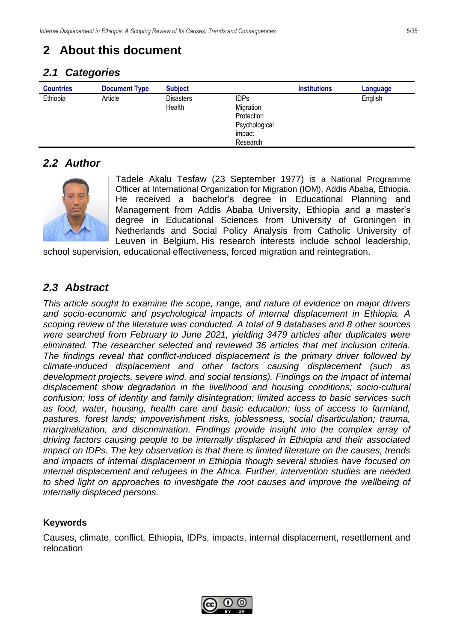## <span id="page-4-0"></span>**2 About this document**

#### <span id="page-4-1"></span>*2.1 Categories*

| <b>Countries</b> | <b>Document Type</b> | <b>Subject</b> |               | <b>Institutions</b> | Language |
|------------------|----------------------|----------------|---------------|---------------------|----------|
| Ethiopia         | Article              | Disasters      | <b>IDPs</b>   |                     | English  |
|                  |                      | Health         | Migration     |                     |          |
|                  |                      |                | Protection    |                     |          |
|                  |                      |                | Psychological |                     |          |
|                  |                      |                | impact        |                     |          |
|                  |                      |                | Research      |                     |          |

#### <span id="page-4-2"></span>*2.2 Author*



Tadele Akalu Tesfaw (23 September 1977) is a National Programme Officer at International Organization for Migration (IOM), Addis Ababa, Ethiopia. He received a bachelor's degree in Educational Planning and Management from Addis Ababa University, Ethiopia and a master's degree in Educational Sciences from University of Groningen in Netherlands and Social Policy Analysis from Catholic University of Leuven in Belgium. His research interests include school leadership,

school supervision, educational effectiveness, forced migration and reintegration.

#### <span id="page-4-3"></span>*2.3 Abstract*

*This article sought to examine the scope, range, and nature of evidence on major drivers and socio-economic and psychological impacts of internal displacement in Ethiopia. A scoping review of the literature was conducted. A total of 9 databases and 8 other sources were searched from February to June 2021, yielding 3479 articles after duplicates were eliminated. The researcher selected and reviewed 36 articles that met inclusion criteria. The findings reveal that conflict-induced displacement is the primary driver followed by climate-induced displacement and other factors causing displacement (such as development projects, severe wind, and social tensions). Findings on the impact of internal displacement show degradation in the livelihood and housing conditions; socio-cultural confusion; loss of identity and family disintegration; limited access to basic services such as food, water, housing, health care and basic education; loss of access to farmland, pastures, forest lands; impoverishment risks, joblessness, social disarticulation; trauma, marginalization, and discrimination. Findings provide insight into the complex array of driving factors causing people to be internally displaced in Ethiopia and their associated impact on IDPs. The key observation is that there is limited literature on the causes, trends and impacts of internal displacement in Ethiopia though several studies have focused on internal displacement and refugees in the Africa. Further, intervention studies are needed to shed light on approaches to investigate the root causes and improve the wellbeing of internally displaced persons.*

#### **Keywords**

Causes, climate, conflict, Ethiopia, IDPs, impacts, internal displacement, resettlement and relocation

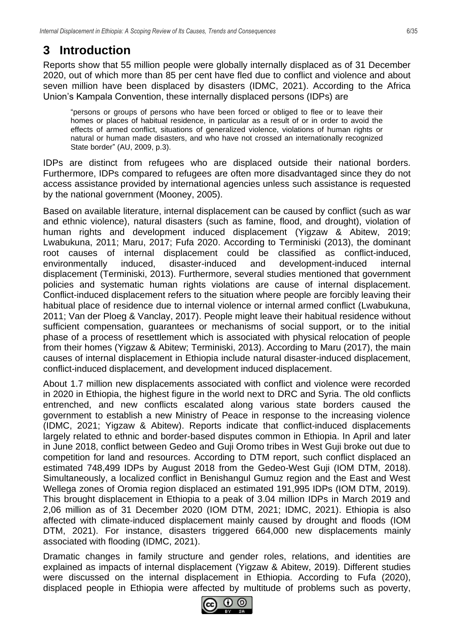## <span id="page-5-0"></span>**3 Introduction**

Reports show that 55 million people were globally internally displaced as of 31 December 2020, out of which more than 85 per cent have fled due to conflict and violence and about seven million have been displaced by disasters (IDMC, 2021). According to the Africa Union's Kampala Convention, these internally displaced persons (IDPs) are

"persons or groups of persons who have been forced or obliged to flee or to leave their homes or places of habitual residence, in particular as a result of or in order to avoid the effects of armed conflict, situations of generalized violence, violations of human rights or natural or human made disasters, and who have not crossed an internationally recognized State border" (AU, 2009, p.3).

IDPs are distinct from refugees who are displaced outside their national borders. Furthermore, IDPs compared to refugees are often more disadvantaged since they do not access assistance provided by international agencies unless such assistance is requested by the national government (Mooney, 2005).

Based on available literature, internal displacement can be caused by conflict (such as war and ethnic violence), natural disasters (such as famine, flood, and drought), violation of human rights and development induced displacement (Yigzaw & Abitew, 2019; Lwabukuna, 2011; Maru, 2017; Fufa 2020. According to Terminiski (2013), the dominant root causes of internal displacement could be classified as conflict-induced, environmentally induced, disaster-induced and development-induced internal displacement (Terminiski, 2013). Furthermore, several studies mentioned that government policies and systematic human rights violations are cause of internal displacement. Conflict-induced displacement refers to the situation where people are forcibly leaving their habitual place of residence due to internal violence or internal armed conflict (Lwabukuna, 2011; Van der Ploeg & Vanclay, 2017). People might leave their habitual residence without sufficient compensation, guarantees or mechanisms of social support, or to the initial phase of a process of resettlement which is associated with physical relocation of people from their homes (Yigzaw & Abitew; Terminiski, 2013). According to Maru (2017), the main causes of internal displacement in Ethiopia include natural disaster-induced displacement, conflict-induced displacement, and development induced displacement.

About 1.7 million new displacements associated with conflict and violence were recorded in 2020 in Ethiopia, the highest figure in the world next to DRC and Syria. The old conflicts entrenched, and new conflicts escalated along various state borders caused the government to establish a new Ministry of Peace in response to the increasing violence (IDMC, 2021; Yigzaw & Abitew). Reports indicate that conflict-induced displacements largely related to ethnic and border-based disputes common in Ethiopia. In April and later in June 2018, conflict between Gedeo and Guji Oromo tribes in West Guji broke out due to competition for land and resources. According to DTM report, such conflict displaced an estimated 748,499 IDPs by August 2018 from the Gedeo-West Guji (IOM DTM, 2018). Simultaneously, a localized conflict in Benishangul Gumuz region and the East and West Wellega zones of Oromia region displaced an estimated 191,995 IDPs (IOM DTM, 2019). This brought displacement in Ethiopia to a peak of 3.04 million IDPs in March 2019 and 2,06 million as of 31 December 2020 (IOM DTM, 2021; IDMC, 2021). Ethiopia is also affected with climate-induced displacement mainly caused by drought and floods (IOM DTM, 2021). For instance, disasters triggered 664,000 new displacements mainly associated with flooding (IDMC, 2021).

Dramatic changes in family structure and gender roles, relations, and identities are explained as impacts of internal displacement (Yigzaw & Abitew, 2019). Different studies were discussed on the internal displacement in Ethiopia. According to Fufa (2020), displaced people in Ethiopia were affected by multitude of problems such as poverty,

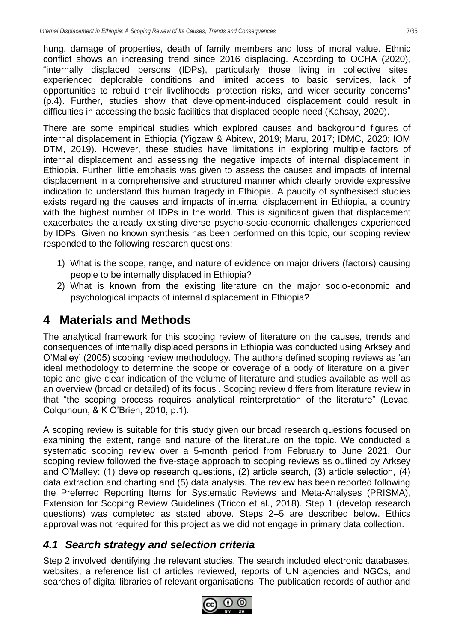hung, damage of properties, death of family members and loss of moral value. Ethnic conflict shows an increasing trend since 2016 displacing. According to OCHA (2020), "internally displaced persons (IDPs), particularly those living in collective sites, experienced deplorable conditions and limited access to basic services, lack of opportunities to rebuild their livelihoods, protection risks, and wider security concerns" (p.4). Further, studies show that development-induced displacement could result in difficulties in accessing the basic facilities that displaced people need (Kahsay, 2020).

There are some empirical studies which explored causes and background figures of internal displacement in Ethiopia (Yigzaw & Abitew, 2019; Maru, 2017; IDMC, 2020; IOM DTM, 2019). However, these studies have limitations in exploring multiple factors of internal displacement and assessing the negative impacts of internal displacement in Ethiopia. Further, little emphasis was given to assess the causes and impacts of internal displacement in a comprehensive and structured manner which clearly provide expressive indication to understand this human tragedy in Ethiopia. A paucity of synthesised studies exists regarding the causes and impacts of internal displacement in Ethiopia, a country with the highest number of IDPs in the world. This is significant given that displacement exacerbates the already existing diverse psycho-socio-economic challenges experienced by IDPs. Given no known synthesis has been performed on this topic, our scoping review responded to the following research questions:

- 1) What is the scope, range, and nature of evidence on major drivers (factors) causing people to be internally displaced in Ethiopia?
- 2) What is known from the existing literature on the major socio-economic and psychological impacts of internal displacement in Ethiopia?

## <span id="page-6-0"></span>**4 Materials and Methods**

The analytical framework for this scoping review of literature on the causes, trends and consequences of internally displaced persons in Ethiopia was conducted using Arksey and O'Malley' (2005) scoping review methodology. The authors defined scoping reviews as 'an ideal methodology to determine the scope or coverage of a body of literature on a given topic and give clear indication of the volume of literature and studies available as well as an overview (broad or detailed) of its focus'. Scoping review differs from literature review in that "the scoping process requires analytical reinterpretation of the literature" (Levac, Colquhoun, & K O'Brien, 2010, p.1).

A scoping review is suitable for this study given our broad research questions focused on examining the extent, range and nature of the literature on the topic. We conducted a systematic scoping review over a 5-month period from February to June 2021. Our scoping review followed the five-stage approach to scoping reviews as outlined by Arksey and O'Malley: (1) develop research questions, (2) article search, (3) article selection, (4) data extraction and charting and (5) data analysis. The review has been reported following the Preferred Reporting Items for Systematic Reviews and Meta-Analyses (PRISMA), Extension for Scoping Review Guidelines (Tricco et al., 2018). Step 1 (develop research questions) was completed as stated above. Steps 2–5 are described below. Ethics approval was not required for this project as we did not engage in primary data collection.

#### <span id="page-6-1"></span>*4.1 Search strategy and selection criteria*

Step 2 involved identifying the relevant studies. The search included electronic databases, websites, a reference list of articles reviewed, reports of UN agencies and NGOs, and searches of digital libraries of relevant organisations. The publication records of author and

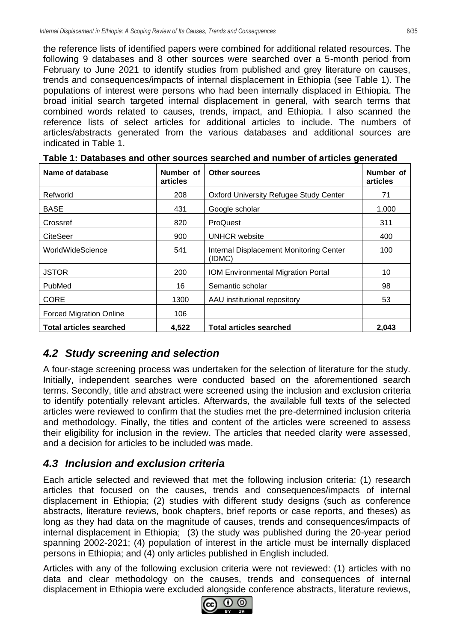the reference lists of identified papers were combined for additional related resources. The following 9 databases and 8 other sources were searched over a 5-month period from February to June 2021 to identify studies from published and grey literature on causes, trends and consequences/impacts of internal displacement in Ethiopia (see Table 1). The populations of interest were persons who had been internally displaced in Ethiopia. The broad initial search targeted internal displacement in general, with search terms that combined words related to causes, trends, impact, and Ethiopia. I also scanned the reference lists of select articles for additional articles to include. The numbers of articles/abstracts generated from the various databases and additional sources are indicated in Table 1.

| Name of database               | Number of<br>articles | <b>Other sources</b>                              | Number of<br>articles |
|--------------------------------|-----------------------|---------------------------------------------------|-----------------------|
| Refworld                       | 208                   | Oxford University Refugee Study Center            | 71                    |
| <b>BASE</b>                    | 431                   | Google scholar                                    | 1,000                 |
| Crossref                       | 820                   | ProQuest                                          | 311                   |
| CiteSeer                       | 900                   | <b>UNHCR</b> website                              | 400                   |
| WorldWideScience               | 541                   | Internal Displacement Monitoring Center<br>(IDMC) | 100                   |
| <b>JSTOR</b>                   | 200                   | <b>IOM Environmental Migration Portal</b>         | 10                    |
| PubMed                         | 16                    | Semantic scholar                                  | 98                    |
| <b>CORE</b>                    | 1300                  | AAU institutional repository                      | 53                    |
| <b>Forced Migration Online</b> | 106                   |                                                   |                       |
| <b>Total articles searched</b> | 4,522                 | <b>Total articles searched</b>                    | 2,043                 |

**Table 1: Databases and other sources searched and number of articles generated**

#### <span id="page-7-0"></span>*4.2 Study screening and selection*

A four‑stage screening process was undertaken for the selection of literature for the study. Initially, independent searches were conducted based on the aforementioned search terms. Secondly, title and abstract were screened using the inclusion and exclusion criteria to identify potentially relevant articles. Afterwards, the available full texts of the selected articles were reviewed to confirm that the studies met the pre‑determined inclusion criteria and methodology. Finally, the titles and content of the articles were screened to assess their eligibility for inclusion in the review. The articles that needed clarity were assessed, and a decision for articles to be included was made.

#### <span id="page-7-1"></span>*4.3 Inclusion and exclusion criteria*

Each article selected and reviewed that met the following inclusion criteria: (1) research articles that focused on the causes, trends and consequences/impacts of internal displacement in Ethiopia; (2) studies with different study designs (such as conference abstracts, literature reviews, book chapters, brief reports or case reports, and theses) as long as they had data on the magnitude of causes, trends and consequences/impacts of internal displacement in Ethiopia; (3) the study was published during the 20-year period spanning 2002-2021; (4) population of interest in the article must be internally displaced persons in Ethiopia; and (4) only articles published in English included.

Articles with any of the following exclusion criteria were not reviewed: (1) articles with no data and clear methodology on the causes, trends and consequences of internal displacement in Ethiopia were excluded alongside conference abstracts, literature reviews,

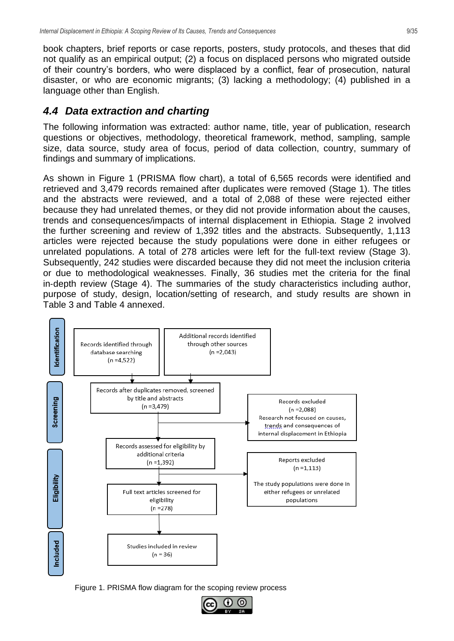book chapters, brief reports or case reports, posters, study protocols, and theses that did not qualify as an empirical output; (2) a focus on displaced persons who migrated outside of their country's borders, who were displaced by a conflict, fear of prosecution, natural disaster, or who are economic migrants; (3) lacking a methodology; (4) published in a language other than English.

#### <span id="page-8-0"></span>*4.4 Data extraction and charting*

The following information was extracted: author name, title, year of publication, research questions or objectives, methodology, theoretical framework, method, sampling, sample size, data source, study area of focus, period of data collection, country, summary of findings and summary of implications.

As shown in Figure 1 (PRISMA flow chart), a total of 6,565 records were identified and retrieved and 3,479 records remained after duplicates were removed (Stage 1). The titles and the abstracts were reviewed, and a total of 2,088 of these were rejected either because they had unrelated themes, or they did not provide information about the causes, trends and consequences/impacts of internal displacement in Ethiopia. Stage 2 involved the further screening and review of 1,392 titles and the abstracts. Subsequently, 1,113 articles were rejected because the study populations were done in either refugees or unrelated populations. A total of 278 articles were left for the full-text review (Stage 3). Subsequently, 242 studies were discarded because they did not meet the inclusion criteria or due to methodological weaknesses. Finally, 36 studies met the criteria for the final in-depth review (Stage 4). The summaries of the study characteristics including author, purpose of study, design, location/setting of research, and study results are shown in Table 3 and Table 4 annexed.



Figure 1. PRISMA flow diagram for the scoping review process

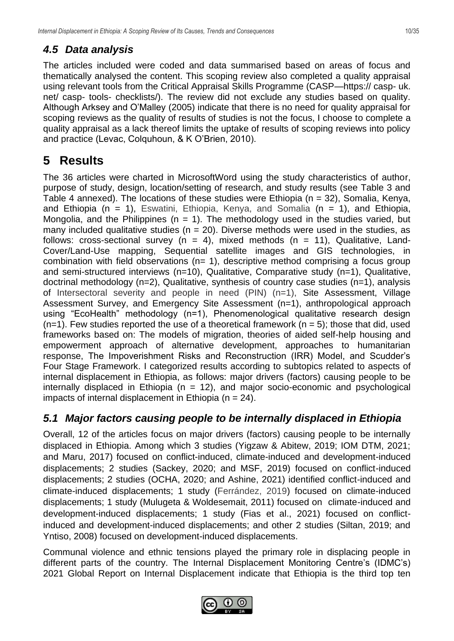#### <span id="page-9-0"></span>*4.5 Data analysis*

The articles included were coded and data summarised based on areas of focus and thematically analysed the content. This scoping review also completed a quality appraisal using relevant tools from the Critical Appraisal Skills Programme (CASP—https:// casp- uk. net/ casp- tools- checklists/). The review did not exclude any studies based on quality. Although Arksey and O'Malley (2005) indicate that there is no need for quality appraisal for scoping reviews as the quality of results of studies is not the focus, I choose to complete a quality appraisal as a lack thereof limits the uptake of results of scoping reviews into policy and practice (Levac, Colquhoun, & K O'Brien, 2010).

## <span id="page-9-1"></span>**5 Results**

The 36 articles were charted in MicrosoftWord using the study characteristics of author, purpose of study, design, location/setting of research, and study results (see Table 3 and Table 4 annexed). The locations of these studies were Ethiopia ( $n = 32$ ), Somalia, Kenya, and Ethiopia (n = 1), Eswatini, Ethiopia, Kenya, and Somalia (n = 1), and Ethiopia, Mongolia, and the Philippines ( $n = 1$ ). The methodology used in the studies varied, but many included qualitative studies ( $n = 20$ ). Diverse methods were used in the studies, as follows: cross-sectional survey ( $n = 4$ ), mixed methods ( $n = 11$ ), Qualitative, Land-Cover/Land-Use mapping, Sequential satellite images and GIS technologies, in combination with field observations (n= 1), descriptive method comprising a focus group and semi-structured interviews (n=10), Qualitative, Comparative study (n=1), Qualitative, doctrinal methodology (n=2), Qualitative, synthesis of country case studies (n=1), analysis of Intersectoral severity and people in need (PIN) (n=1), Site Assessment, Village Assessment Survey, and Emergency Site Assessment (n=1), anthropological approach using "EcoHealth" methodology (n=1), Phenomenological qualitative research design  $(n=1)$ . Few studies reported the use of a theoretical framework  $(n = 5)$ ; those that did, used frameworks based on: The models of migration, theories of aided self-help housing and empowerment approach of alternative development, approaches to humanitarian response, The Impoverishment Risks and Reconstruction (IRR) Model, and Scudder's Four Stage Framework. I categorized results according to subtopics related to aspects of internal displacement in Ethiopia, as follows: major drivers (factors) causing people to be internally displaced in Ethiopia ( $n = 12$ ), and major socio-economic and psychological impacts of internal displacement in Ethiopia ( $n = 24$ ).

#### <span id="page-9-2"></span>*5.1 Major factors causing people to be internally displaced in Ethiopia*

Overall, 12 of the articles focus on major drivers (factors) causing people to be internally displaced in Ethiopia. Among which 3 studies (Yigzaw & Abitew, 2019; IOM DTM, 2021; and Maru, 2017) focused on conflict-induced, climate-induced and development-induced displacements; 2 studies (Sackey, 2020; and MSF, 2019) focused on conflict-induced displacements; 2 studies (OCHA, 2020; and Ashine, 2021) identified conflict-induced and climate-induced displacements; 1 study (Ferrández, 2019) focused on climate-induced displacements; 1 study (Mulugeta & Woldesemait, 2011) focused on climate-induced and development-induced displacements; 1 study (Fias et al., 2021) focused on conflictinduced and development-induced displacements; and other 2 studies (Siltan, 2019; and Yntiso, 2008) focused on development-induced displacements.

Communal violence and ethnic tensions played the primary role in displacing people in different parts of the country. The Internal Displacement Monitoring Centre's (IDMC's) 2021 Global Report on Internal Displacement indicate that Ethiopia is the third top ten

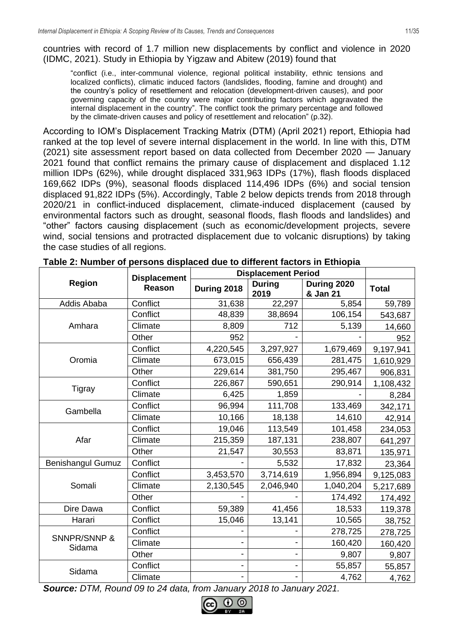countries with record of 1.7 million new displacements by conflict and violence in 2020 (IDMC, 2021). Study in Ethiopia by Yigzaw and Abitew (2019) found that

"conflict (i.e., inter-communal violence, regional political instability, ethnic tensions and localized conflicts), climatic induced factors (landslides, flooding, famine and drought) and the country's policy of resettlement and relocation (development-driven causes), and poor governing capacity of the country were major contributing factors which aggravated the internal displacement in the country". The conflict took the primary percentage and followed by the climate-driven causes and policy of resettlement and relocation" (p.32).

According to IOM's Displacement Tracking Matrix (DTM) (April 2021) report, Ethiopia had ranked at the top level of severe internal displacement in the world. In line with this, DTM (2021) site assessment report based on data collected from December 2020 — January 2021 found that conflict remains the primary cause of displacement and displaced 1.12 million IDPs (62%), while drought displaced 331,963 IDPs (17%), flash floods displaced 169,662 IDPs (9%), seasonal floods displaced 114,496 IDPs (6%) and social tension displaced 91,822 IDPs (5%). Accordingly, Table 2 below depicts trends from 2018 through 2020/21 in conflict-induced displacement, climate-induced displacement (caused by environmental factors such as drought, seasonal floods, flash floods and landslides) and "other" factors causing displacement (such as economic/development projects, severe wind, social tensions and protracted displacement due to volcanic disruptions) by taking the case studies of all regions.

|                                   | <b>Displacement</b> | <b>Displacement Period</b> |                       |                         |              |
|-----------------------------------|---------------------|----------------------------|-----------------------|-------------------------|--------------|
| <b>Region</b>                     | Reason              | During 2018                | <b>During</b><br>2019 | During 2020<br>& Jan 21 | <b>Total</b> |
| Addis Ababa                       | Conflict            | 31,638                     | 22,297                | 5,854                   | 59,789       |
|                                   | Conflict            | 48,839                     | 38,8694               | 106,154                 | 543,687      |
| Amhara                            | Climate             | 8,809                      | 712                   | 5,139                   | 14,660       |
|                                   | Other               | 952                        |                       |                         | 952          |
|                                   | Conflict            | 4,220,545                  | 3,297,927             | 1,679,469               | 9,197,941    |
| Oromia                            | Climate             | 673,015                    | 656,439               | 281,475                 | 1,610,929    |
|                                   | Other               | 229,614                    | 381,750               | 295,467                 | 906,831      |
|                                   | Conflict            | 226,867                    | 590,651               | 290,914                 | 1,108,432    |
| Tigray                            | Climate             | 6,425                      | 1,859                 |                         | 8,284        |
|                                   | Conflict            | 96,994                     | 111,708               | 133,469                 | 342,171      |
| Gambella                          | Climate             | 10,166                     | 18,138                | 14,610                  | 42,914       |
|                                   | Conflict            | 19,046                     | 113,549               | 101,458                 | 234,053      |
| Afar                              | Climate             | 215,359                    | 187,131               | 238,807                 | 641,297      |
|                                   | Other               | 21,547                     | 30,553                | 83,871                  | 135,971      |
| <b>Benishangul Gumuz</b>          | Conflict            |                            | 5,532                 | 17,832                  | 23,364       |
|                                   | Conflict            | 3,453,570                  | 3,714,619             | 1,956,894               | 9,125,083    |
| Somali                            | Climate             | 2,130,545                  | 2,046,940             | 1,040,204               | 5,217,689    |
|                                   | Other               |                            |                       | 174,492                 | 174,492      |
| Dire Dawa                         | Conflict            | 59,389                     | 41,456                | 18,533                  | 119,378      |
| Harari                            | Conflict            | 15,046                     | 13,141                | 10,565                  | 38,752       |
|                                   | Conflict            |                            |                       | 278,725                 | 278,725      |
| <b>SNNPR/SNNP &amp;</b><br>Sidama | Climate             |                            |                       | 160,420                 | 160,420      |
|                                   | Other               |                            |                       | 9,807                   | 9,807        |
|                                   | Conflict            |                            |                       | 55,857                  | 55,857       |
| Sidama                            | Climate             |                            |                       | 4,762                   | 4,762        |

**Table 2: Number of persons displaced due to different factors in Ethiopia**

*Source: DTM, Round 09 to 24 data, from January 2018 to January 2021.*

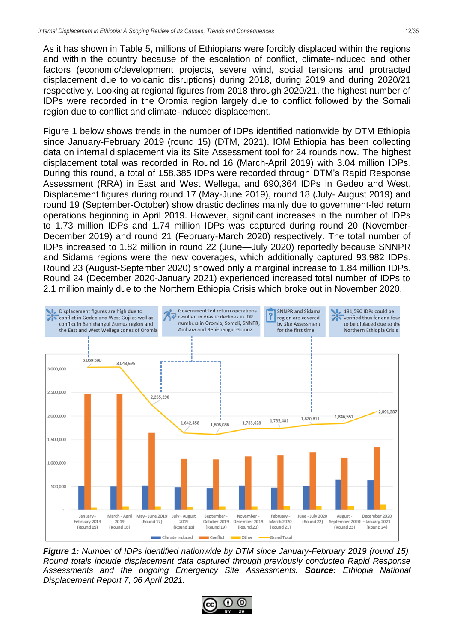As it has shown in Table 5, millions of Ethiopians were forcibly displaced within the regions and within the country because of the escalation of conflict, climate-induced and other factors (economic/development projects, severe wind, social tensions and protracted displacement due to volcanic disruptions) during 2018, during 2019 and during 2020/21 respectively. Looking at regional figures from 2018 through 2020/21, the highest number of IDPs were recorded in the Oromia region largely due to conflict followed by the Somali region due to conflict and climate-induced displacement.

Figure 1 below shows trends in the number of IDPs identified nationwide by DTM Ethiopia since January-February 2019 (round 15) (DTM, 2021). IOM Ethiopia has been collecting data on internal displacement via its Site Assessment tool for 24 rounds now. The highest displacement total was recorded in Round 16 (March-April 2019) with 3.04 million IDPs. During this round, a total of 158,385 IDPs were recorded through DTM's Rapid Response Assessment (RRA) in East and West Wellega, and 690,364 IDPs in Gedeo and West. Displacement figures during round 17 (May-June 2019), round 18 (July- August 2019) and round 19 (September-October) show drastic declines mainly due to government-led return operations beginning in April 2019. However, significant increases in the number of IDPs to 1.73 million IDPs and 1.74 million IDPs was captured during round 20 (November-December 2019) and round 21 (February-March 2020) respectively. The total number of IDPs increased to 1.82 million in round 22 (June—July 2020) reportedly because SNNPR and Sidama regions were the new coverages, which additionally captured 93,982 IDPs. Round 23 (August-September 2020) showed only a marginal increase to 1.84 million IDPs. Round 24 (December 2020-January 2021) experienced increased total number of IDPs to 2.1 million mainly due to the Northern Ethiopia Crisis which broke out in November 2020.



*Figure 1: Number of IDPs identified nationwide by DTM since January-February 2019 (round 15). Round totals include displacement data captured through previously conducted Rapid Response Assessments and the ongoing Emergency Site Assessments. Source: Ethiopia National Displacement Report 7, 06 April 2021.*

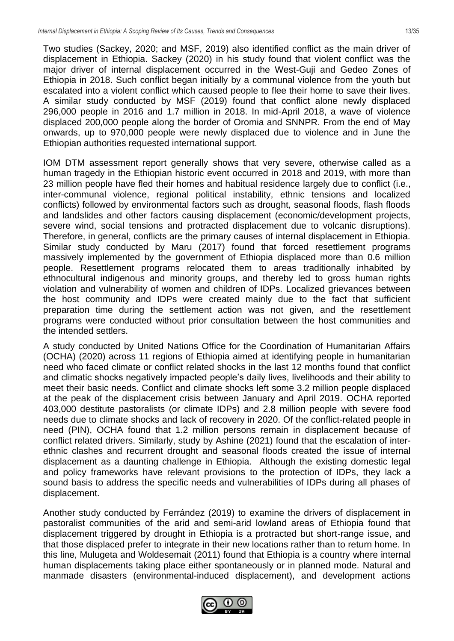Two studies (Sackey, 2020; and MSF, 2019) also identified conflict as the main driver of displacement in Ethiopia. Sackey (2020) in his study found that violent conflict was the major driver of internal displacement occurred in the West-Guji and Gedeo Zones of Ethiopia in 2018. Such conflict began initially by a communal violence from the youth but escalated into a violent conflict which caused people to flee their home to save their lives. A similar study conducted by MSF (2019) found that conflict alone newly displaced 296,000 people in 2016 and 1.7 million in 2018. In mid-April 2018, a wave of violence displaced 200,000 people along the border of Oromia and SNNPR. From the end of May onwards, up to 970,000 people were newly displaced due to violence and in June the Ethiopian authorities requested international support.

IOM DTM assessment report generally shows that very severe, otherwise called as a human tragedy in the Ethiopian historic event occurred in 2018 and 2019, with more than 23 million people have fled their homes and habitual residence largely due to conflict (i.e., inter-communal violence, regional political instability, ethnic tensions and localized conflicts) followed by environmental factors such as drought, seasonal floods, flash floods and landslides and other factors causing displacement (economic/development projects, severe wind, social tensions and protracted displacement due to volcanic disruptions). Therefore, in general, conflicts are the primary causes of internal displacement in Ethiopia. Similar study conducted by Maru (2017) found that forced resettlement programs massively implemented by the government of Ethiopia displaced more than 0.6 million people. Resettlement programs relocated them to areas traditionally inhabited by ethnocultural indigenous and minority groups, and thereby led to gross human rights violation and vulnerability of women and children of IDPs. Localized grievances between the host community and IDPs were created mainly due to the fact that sufficient preparation time during the settlement action was not given, and the resettlement programs were conducted without prior consultation between the host communities and the intended settlers.

A study conducted by United Nations Office for the Coordination of Humanitarian Affairs (OCHA) (2020) across 11 regions of Ethiopia aimed at identifying people in humanitarian need who faced climate or conflict related shocks in the last 12 months found that conflict and climatic shocks negatively impacted people's daily lives, livelihoods and their ability to meet their basic needs. Conflict and climate shocks left some 3.2 million people displaced at the peak of the displacement crisis between January and April 2019. OCHA reported 403,000 destitute pastoralists (or climate IDPs) and 2.8 million people with severe food needs due to climate shocks and lack of recovery in 2020. Of the conflict-related people in need (PIN), OCHA found that 1.2 million persons remain in displacement because of conflict related drivers. Similarly, study by Ashine (2021) found that the escalation of interethnic clashes and recurrent drought and seasonal floods created the issue of internal displacement as a daunting challenge in Ethiopia. Although the existing domestic legal and policy frameworks have relevant provisions to the protection of IDPs, they lack a sound basis to address the specific needs and vulnerabilities of IDPs during all phases of displacement.

Another study conducted by Ferrández (2019) to examine the drivers of displacement in pastoralist communities of the arid and semi-arid lowland areas of Ethiopia found that displacement triggered by drought in Ethiopia is a protracted but short-range issue, and that those displaced prefer to integrate in their new locations rather than to return home. In this line, Mulugeta and Woldesemait (2011) found that Ethiopia is a country where internal human displacements taking place either spontaneously or in planned mode. Natural and manmade disasters (environmental-induced displacement), and development actions

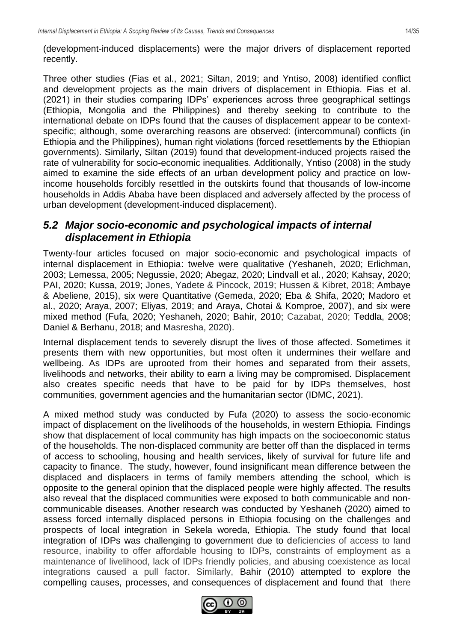(development-induced displacements) were the major drivers of displacement reported recently.

Three other studies (Fias et al., 2021; Siltan, 2019; and Yntiso, 2008) identified conflict and development projects as the main drivers of displacement in Ethiopia. Fias et al. (2021) in their studies comparing IDPs' experiences across three geographical settings (Ethiopia, Mongolia and the Philippines) and thereby seeking to contribute to the international debate on IDPs found that the causes of displacement appear to be contextspecific; although, some overarching reasons are observed: (intercommunal) conflicts (in Ethiopia and the Philippines), human right violations (forced resettlements by the Ethiopian governments). Similarly, Siltan (2019) found that development-induced projects raised the rate of vulnerability for socio-economic inequalities. Additionally, Yntiso (2008) in the study aimed to examine the side effects of an urban development policy and practice on lowincome households forcibly resettled in the outskirts found that thousands of low-income households in Addis Ababa have been displaced and adversely affected by the process of urban development (development-induced displacement).

#### <span id="page-13-0"></span>*5.2 Major socio-economic and psychological impacts of internal displacement in Ethiopia*

Twenty-four articles focused on major socio-economic and psychological impacts of internal displacement in Ethiopia: twelve were qualitative (Yeshaneh, 2020; Erlichman, 2003; Lemessa, 2005; Negussie, 2020; Abegaz, 2020; Lindvall et al., 2020; Kahsay, 2020; PAI, 2020; Kussa, 2019; Jones, Yadete & Pincock, 2019; Hussen & Kibret, 2018; Ambaye & Abeliene, 2015), six were Quantitative (Gemeda, 2020; Eba & Shifa, 2020; Madoro et al., 2020; Araya, 2007; Eliyas, 2019; and Araya, Chotai & Komproe, 2007), and six were mixed method (Fufa, 2020; Yeshaneh, 2020; Bahir, 2010; Cazabat, 2020; Teddla, 2008; Daniel & Berhanu, 2018; and Masresha, 2020).

Internal displacement tends to severely disrupt the lives of those affected. Sometimes it presents them with new opportunities, but most often it undermines their welfare and wellbeing. As IDPs are uprooted from their homes and separated from their assets, livelihoods and networks, their ability to earn a living may be compromised. Displacement also creates specific needs that have to be paid for by IDPs themselves, host communities, government agencies and the humanitarian sector (IDMC, 2021).

A mixed method study was conducted by Fufa (2020) to assess the socio-economic impact of displacement on the livelihoods of the households, in western Ethiopia. Findings show that displacement of local community has high impacts on the socioeconomic status of the households. The non-displaced community are better off than the displaced in terms of access to schooling, housing and health services, likely of survival for future life and capacity to finance. The study, however, found insignificant mean difference between the displaced and displacers in terms of family members attending the school, which is opposite to the general opinion that the displaced people were highly affected. The results also reveal that the displaced communities were exposed to both communicable and noncommunicable diseases. Another research was conducted by Yeshaneh (2020) aimed to assess forced internally displaced persons in Ethiopia focusing on the challenges and prospects of local integration in Sekela woreda, Ethiopia. The study found that local integration of IDPs was challenging to government due to deficiencies of access to land resource, inability to offer affordable housing to IDPs, constraints of employment as a maintenance of livelihood, lack of IDPs friendly policies, and abusing coexistence as local integrations caused a pull factor. Similarly, Bahir (2010) attempted to explore the compelling causes, processes, and consequences of displacement and found that there

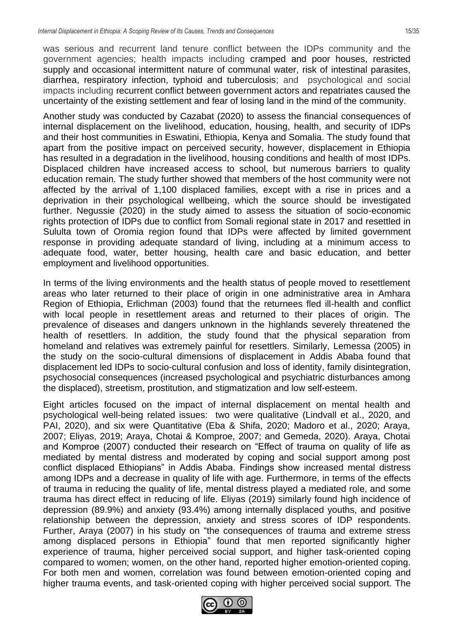was serious and recurrent land tenure conflict between the IDPs community and the government agencies; health impacts including cramped and poor houses, restricted supply and occasional intermittent nature of communal water, risk of intestinal parasites, diarrhea, respiratory infection, typhoid and tuberculosis; and psychological and social impacts including recurrent conflict between government actors and repatriates caused the uncertainty of the existing settlement and fear of losing land in the mind of the community.

Another study was conducted by Cazabat (2020) to assess the financial consequences of internal displacement on the livelihood, education, housing, health, and security of IDPs and their host communities in Eswatini, Ethiopia, Kenya and Somalia. The study found that apart from the positive impact on perceived security, however, displacement in Ethiopia has resulted in a degradation in the livelihood, housing conditions and health of most IDPs. Displaced children have increased access to school, but numerous barriers to quality education remain. The study further showed that members of the host community were not affected by the arrival of 1,100 displaced families, except with a rise in prices and a deprivation in their psychological wellbeing, which the source should be investigated further. Negussie (2020) in the study aimed to assess the situation of socio-economic rights protection of IDPs due to conflict from Somali regional state in 2017 and resettled in Sululta town of Oromia region found that IDPs were affected by limited government response in providing adequate standard of living, including at a minimum access to adequate food, water, better housing, health care and basic education, and better employment and livelihood opportunities.

In terms of the living environments and the health status of people moved to resettlement areas who later returned to their place of origin in one administrative area in Amhara Region of Ethiopia, Erlichman (2003) found that the returnees fled ill-health and conflict with local people in resettlement areas and returned to their places of origin. The prevalence of diseases and dangers unknown in the highlands severely threatened the health of resettlers. In addition, the study found that the physical separation from homeland and relatives was extremely painful for resettlers. Similarly, Lemessa (2005) in the study on the socio-cultural dimensions of displacement in Addis Ababa found that displacement led IDPs to socio-cultural confusion and loss of identity, family disintegration, psychosocial consequences (increased psychological and psychiatric disturbances among the displaced), streetism, prostitution, and stigmatization and low self-esteem.

Eight articles focused on the impact of internal displacement on mental health and psychological well-being related issues: two were qualitative (Lindvall et al., 2020, and PAI, 2020), and six were Quantitative (Eba & Shifa, 2020; Madoro et al., 2020; Araya, 2007; Eliyas, 2019; Araya, Chotai & Komproe, 2007; and Gemeda, 2020). Araya, Chotai and Komproe (2007) conducted their research on "Effect of trauma on quality of life as mediated by mental distress and moderated by coping and social support among post conflict displaced Ethiopians" in Addis Ababa. Findings show increased mental distress among IDPs and a decrease in quality of life with age. Furthermore, in terms of the effects of trauma in reducing the quality of life, mental distress played a mediated role, and some trauma has direct effect in reducing of life. Eliyas (2019) similarly found high incidence of depression (89.9%) and anxiety (93.4%) among internally displaced youths, and positive relationship between the depression, anxiety and stress scores of IDP respondents. Further, Araya (2007) in his study on "the consequences of trauma and extreme stress among displaced persons in Ethiopia" found that men reported significantly higher experience of trauma, higher perceived social support, and higher task-oriented coping compared to women; women, on the other hand, reported higher emotion-oriented coping. For both men and women, correlation was found between emotion-oriented coping and higher trauma events, and task-oriented coping with higher perceived social support. The

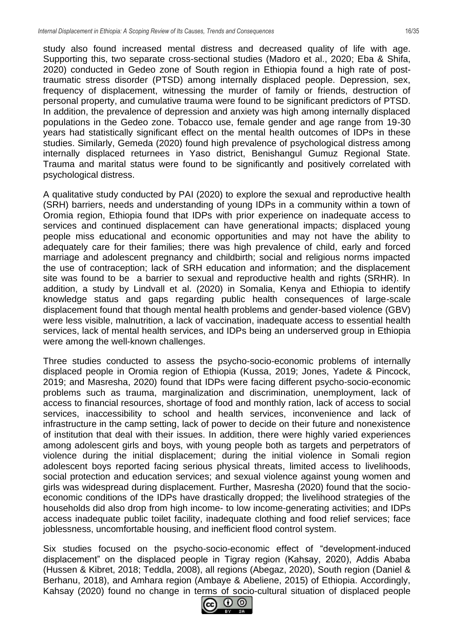study also found increased mental distress and decreased quality of life with age. Supporting this, two separate cross-sectional studies (Madoro et al., 2020; Eba & Shifa, 2020) conducted in Gedeo zone of South region in Ethiopia found a high rate of posttraumatic stress disorder (PTSD) among internally displaced people. Depression, sex, frequency of displacement, witnessing the murder of family or friends, destruction of personal property, and cumulative trauma were found to be significant predictors of PTSD. In addition, the prevalence of depression and anxiety was high among internally displaced populations in the Gedeo zone. Tobacco use, female gender and age range from 19-30 years had statistically significant effect on the mental health outcomes of IDPs in these studies. Similarly, Gemeda (2020) found high prevalence of psychological distress among internally displaced returnees in Yaso district, Benishangul Gumuz Regional State. Trauma and marital status were found to be significantly and positively correlated with psychological distress.

A qualitative study conducted by PAI (2020) to explore the sexual and reproductive health (SRH) barriers, needs and understanding of young IDPs in a community within a town of Oromia region, Ethiopia found that IDPs with prior experience on inadequate access to services and continued displacement can have generational impacts; displaced young people miss educational and economic opportunities and may not have the ability to adequately care for their families; there was high prevalence of child, early and forced marriage and adolescent pregnancy and childbirth; social and religious norms impacted the use of contraception; lack of SRH education and information; and the displacement site was found to be a barrier to sexual and reproductive health and rights (SRHR). In addition, a study by Lindvall et al. (2020) in Somalia, Kenya and Ethiopia to identify knowledge status and gaps regarding public health consequences of large-scale displacement found that though mental health problems and gender-based violence (GBV) were less visible, malnutrition, a lack of vaccination, inadequate access to essential health services, lack of mental health services, and IDPs being an underserved group in Ethiopia were among the well-known challenges.

Three studies conducted to assess the psycho-socio-economic problems of internally displaced people in Oromia region of Ethiopia (Kussa, 2019; Jones, Yadete & Pincock, 2019; and Masresha, 2020) found that IDPs were facing different psycho-socio-economic problems such as trauma, marginalization and discrimination, unemployment, lack of access to financial resources, shortage of food and monthly ration, lack of access to social services, inaccessibility to school and health services, inconvenience and lack of infrastructure in the camp setting, lack of power to decide on their future and nonexistence of institution that deal with their issues. In addition, there were highly varied experiences among adolescent girls and boys, with young people both as targets and perpetrators of violence during the initial displacement; during the initial violence in Somali region adolescent boys reported facing serious physical threats, limited access to livelihoods, social protection and education services; and sexual violence against young women and girls was widespread during displacement. Further, Masresha (2020) found that the socioeconomic conditions of the IDPs have drastically dropped; the livelihood strategies of the households did also drop from high income- to low income-generating activities; and IDPs access inadequate public toilet facility, inadequate clothing and food relief services; face joblessness, uncomfortable housing, and inefficient flood control system.

Six studies focused on the psycho-socio-economic effect of "development-induced displacement" on the displaced people in Tigray region (Kahsay, 2020), Addis Ababa (Hussen & Kibret, 2018; Teddla, 2008), all regions (Abegaz, 2020), South region (Daniel & Berhanu, 2018), and Amhara region (Ambaye & Abeliene, 2015) of Ethiopia. Accordingly, Kahsay (2020) found no change in terms of socio-cultural situation of displaced people

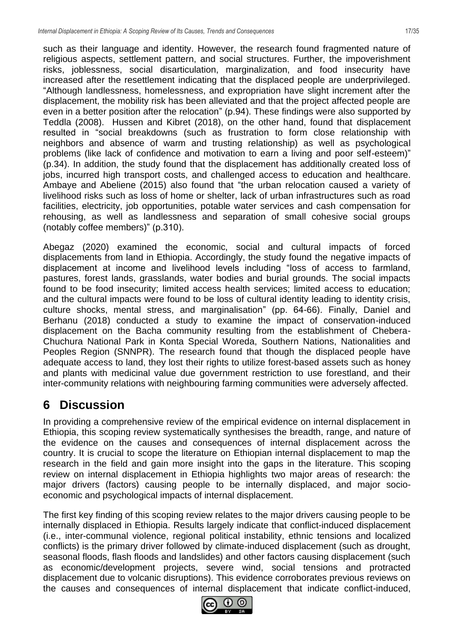such as their language and identity. However, the research found fragmented nature of religious aspects, settlement pattern, and social structures. Further, the impoverishment risks, joblessness, social disarticulation, marginalization, and food insecurity have increased after the resettlement indicating that the displaced people are underprivileged. "Although landlessness, homelessness, and expropriation have slight increment after the displacement, the mobility risk has been alleviated and that the project affected people are even in a better position after the relocation" (p.94). These findings were also supported by Teddla (2008). Hussen and Kibret (2018), on the other hand, found that displacement resulted in "social breakdowns (such as frustration to form close relationship with neighbors and absence of warm and trusting relationship) as well as psychological problems (like lack of confidence and motivation to earn a living and poor self-esteem)" (p.34). In addition, the study found that the displacement has additionally created loss of jobs, incurred high transport costs, and challenged access to education and healthcare. Ambaye and Abeliene (2015) also found that "the urban relocation caused a variety of livelihood risks such as loss of home or shelter, lack of urban infrastructures such as road facilities, electricity, job opportunities, potable water services and cash compensation for rehousing, as well as landlessness and separation of small cohesive social groups (notably coffee members)" (p.310).

Abegaz (2020) examined the economic, social and cultural impacts of forced displacements from land in Ethiopia. Accordingly, the study found the negative impacts of displacement at income and livelihood levels including "loss of access to farmland, pastures, forest lands, grasslands, water bodies and burial grounds. The social impacts found to be food insecurity; limited access health services; limited access to education; and the cultural impacts were found to be loss of cultural identity leading to identity crisis, culture shocks, mental stress, and marginalisation" (pp. 64-66). Finally, Daniel and Berhanu (2018) conducted a study to examine the impact of conservation-induced displacement on the Bacha community resulting from the establishment of Chebera-Chuchura National Park in Konta Special Woreda, Southern Nations, Nationalities and Peoples Region (SNNPR). The research found that though the displaced people have adequate access to land, they lost their rights to utilize forest-based assets such as honey and plants with medicinal value due government restriction to use forestland, and their inter-community relations with neighbouring farming communities were adversely affected.

## <span id="page-16-0"></span>**6 Discussion**

In providing a comprehensive review of the empirical evidence on internal displacement in Ethiopia, this scoping review systematically synthesises the breadth, range, and nature of the evidence on the causes and consequences of internal displacement across the country. It is crucial to scope the literature on Ethiopian internal displacement to map the research in the field and gain more insight into the gaps in the literature. This scoping review on internal displacement in Ethiopia highlights two major areas of research: the major drivers (factors) causing people to be internally displaced, and major socioeconomic and psychological impacts of internal displacement.

The first key finding of this scoping review relates to the major drivers causing people to be internally displaced in Ethiopia. Results largely indicate that conflict-induced displacement (i.e., inter-communal violence, regional political instability, ethnic tensions and localized conflicts) is the primary driver followed by climate-induced displacement (such as drought, seasonal floods, flash floods and landslides) and other factors causing displacement (such as economic/development projects, severe wind, social tensions and protracted displacement due to volcanic disruptions). This evidence corroborates previous reviews on the causes and consequences of internal displacement that indicate conflict-induced,

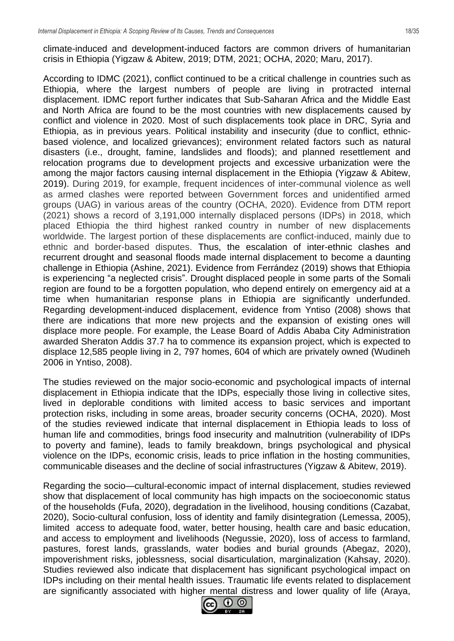climate-induced and development-induced factors are common drivers of humanitarian crisis in Ethiopia (Yigzaw & Abitew, 2019; DTM, 2021; OCHA, 2020; Maru, 2017).

According to IDMC (2021), conflict continued to be a critical challenge in countries such as Ethiopia, where the largest numbers of people are living in protracted internal displacement. IDMC report further indicates that Sub-Saharan Africa and the Middle East and North Africa are found to be the most countries with new displacements caused by conflict and violence in 2020. Most of such displacements took place in DRC, Syria and Ethiopia, as in previous years. Political instability and insecurity (due to conflict, ethnicbased violence, and localized grievances); environment related factors such as natural disasters (i.e., drought, famine, landslides and floods); and planned resettlement and relocation programs due to development projects and excessive urbanization were the among the major factors causing internal displacement in the Ethiopia (Yigzaw & Abitew, 2019). During 2019, for example, frequent incidences of inter-communal violence as well as armed clashes were reported between Government forces and unidentified armed groups (UAG) in various areas of the country (OCHA, 2020). Evidence from DTM report (2021) shows a record of 3,191,000 internally displaced persons (IDPs) in 2018, which placed Ethiopia the third highest ranked country in number of new displacements worldwide. The largest portion of these displacements are conflict-induced, mainly due to ethnic and border-based disputes. Thus, the escalation of inter-ethnic clashes and recurrent drought and seasonal floods made internal displacement to become a daunting challenge in Ethiopia (Ashine, 2021). Evidence from Ferrández (2019) shows that Ethiopia is experiencing "a neglected crisis". Drought displaced people in some parts of the Somali region are found to be a forgotten population, who depend entirely on emergency aid at a time when humanitarian response plans in Ethiopia are significantly underfunded. Regarding development-induced displacement, evidence from Yntiso (2008) shows that there are indications that more new projects and the expansion of existing ones will displace more people. For example, the Lease Board of Addis Ababa City Administration awarded Sheraton Addis 37.7 ha to commence its expansion project, which is expected to displace 12,585 people living in 2, 797 homes, 604 of which are privately owned (Wudineh 2006 in Yntiso, 2008).

The studies reviewed on the major socio-economic and psychological impacts of internal displacement in Ethiopia indicate that the IDPs, especially those living in collective sites, lived in deplorable conditions with limited access to basic services and important protection risks, including in some areas, broader security concerns (OCHA, 2020). Most of the studies reviewed indicate that internal displacement in Ethiopia leads to loss of human life and commodities, brings food insecurity and malnutrition (vulnerability of IDPs to poverty and famine), leads to family breakdown, brings psychological and physical violence on the IDPs, economic crisis, leads to price inflation in the hosting communities, communicable diseases and the decline of social infrastructures (Yigzaw & Abitew, 2019).

Regarding the socio—cultural-economic impact of internal displacement, studies reviewed show that displacement of local community has high impacts on the socioeconomic status of the households (Fufa, 2020), degradation in the livelihood, housing conditions (Cazabat, 2020), Socio-cultural confusion, loss of identity and family disintegration (Lemessa, 2005), limited access to adequate food, water, better housing, health care and basic education, and access to employment and livelihoods (Negussie, 2020), loss of access to farmland, pastures, forest lands, grasslands, water bodies and burial grounds (Abegaz, 2020), impoverishment risks, joblessness, social disarticulation, marginalization (Kahsay, 2020). Studies reviewed also indicate that displacement has significant psychological impact on IDPs including on their mental health issues. Traumatic life events related to displacement are significantly associated with higher mental distress and lower quality of life (Araya,

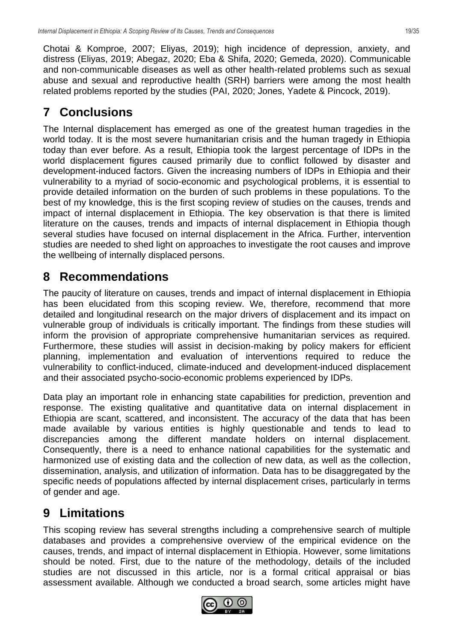Chotai & Komproe, 2007; Eliyas, 2019); high incidence of depression, anxiety, and distress (Eliyas, 2019; Abegaz, 2020; Eba & Shifa, 2020; Gemeda, 2020). Communicable and non‑communicable diseases as well as other health‑related problems such as sexual abuse and sexual and reproductive health (SRH) barriers were among the most health related problems reported by the studies (PAI, 2020; Jones, Yadete & Pincock, 2019).

## <span id="page-18-0"></span>**7 Conclusions**

The Internal displacement has emerged as one of the greatest human tragedies in the world today. It is the most severe humanitarian crisis and the human tragedy in Ethiopia today than ever before. As a result, Ethiopia took the largest percentage of IDPs in the world displacement figures caused primarily due to conflict followed by disaster and development-induced factors. Given the increasing numbers of IDPs in Ethiopia and their vulnerability to a myriad of socio-economic and psychological problems, it is essential to provide detailed information on the burden of such problems in these populations. To the best of my knowledge, this is the first scoping review of studies on the causes, trends and impact of internal displacement in Ethiopia. The key observation is that there is limited literature on the causes, trends and impacts of internal displacement in Ethiopia though several studies have focused on internal displacement in the Africa. Further, intervention studies are needed to shed light on approaches to investigate the root causes and improve the wellbeing of internally displaced persons.

## <span id="page-18-1"></span>**8 Recommendations**

The paucity of literature on causes, trends and impact of internal displacement in Ethiopia has been elucidated from this scoping review. We, therefore, recommend that more detailed and longitudinal research on the major drivers of displacement and its impact on vulnerable group of individuals is critically important. The findings from these studies will inform the provision of appropriate comprehensive humanitarian services as required. Furthermore, these studies will assist in decision-making by policy makers for efficient planning, implementation and evaluation of interventions required to reduce the vulnerability to conflict-induced, climate-induced and development-induced displacement and their associated psycho-socio-economic problems experienced by IDPs.

Data play an important role in enhancing state capabilities for prediction, prevention and response. The existing qualitative and quantitative data on internal displacement in Ethiopia are scant, scattered, and inconsistent. The accuracy of the data that has been made available by various entities is highly questionable and tends to lead to discrepancies among the different mandate holders on internal displacement. Consequently, there is a need to enhance national capabilities for the systematic and harmonized use of existing data and the collection of new data, as well as the collection, dissemination, analysis, and utilization of information. Data has to be disaggregated by the specific needs of populations affected by internal displacement crises, particularly in terms of gender and age.

## <span id="page-18-2"></span>**9 Limitations**

This scoping review has several strengths including a comprehensive search of multiple databases and provides a comprehensive overview of the empirical evidence on the causes, trends, and impact of internal displacement in Ethiopia. However, some limitations should be noted. First, due to the nature of the methodology, details of the included studies are not discussed in this article, nor is a formal critical appraisal or bias assessment available. Although we conducted a broad search, some articles might have

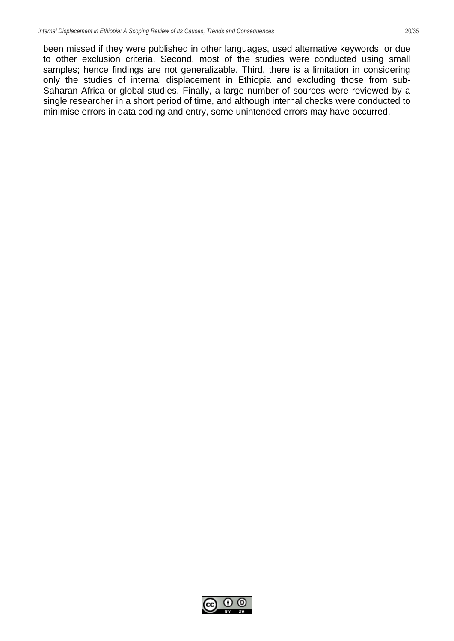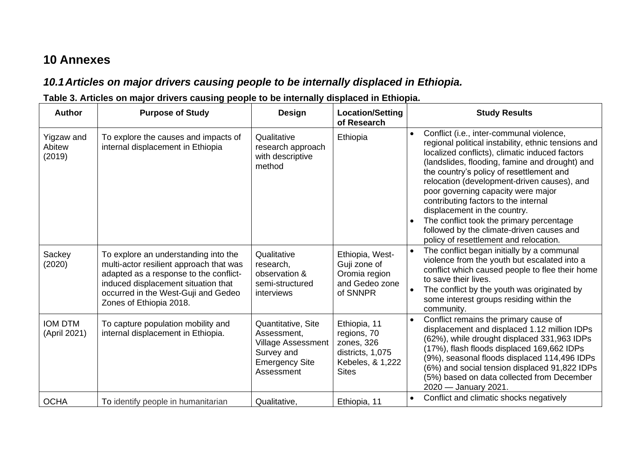## **10 Annexes**

## *10.1Articles on major drivers causing people to be internally displaced in Ethiopia.*

#### **Table 3. Articles on major drivers causing people to be internally displaced in Ethiopia.**

<span id="page-20-1"></span><span id="page-20-0"></span>

| <b>Author</b>                  | <b>Purpose of Study</b>                                                                                                                                                                                                            | <b>Design</b>                                                                                                       | <b>Location/Setting</b><br>of Research                                                            | <b>Study Results</b>                                                                                                                                                                                                                                                                                                                                                                                                                                                                                                                                                      |
|--------------------------------|------------------------------------------------------------------------------------------------------------------------------------------------------------------------------------------------------------------------------------|---------------------------------------------------------------------------------------------------------------------|---------------------------------------------------------------------------------------------------|---------------------------------------------------------------------------------------------------------------------------------------------------------------------------------------------------------------------------------------------------------------------------------------------------------------------------------------------------------------------------------------------------------------------------------------------------------------------------------------------------------------------------------------------------------------------------|
| Yigzaw and<br>Abitew<br>(2019) | To explore the causes and impacts of<br>internal displacement in Ethiopia                                                                                                                                                          | Qualitative<br>research approach<br>with descriptive<br>method                                                      | Ethiopia                                                                                          | Conflict (i.e., inter-communal violence,<br>$\bullet$<br>regional political instability, ethnic tensions and<br>localized conflicts), climatic induced factors<br>(landslides, flooding, famine and drought) and<br>the country's policy of resettlement and<br>relocation (development-driven causes), and<br>poor governing capacity were major<br>contributing factors to the internal<br>displacement in the country.<br>The conflict took the primary percentage<br>$\bullet$<br>followed by the climate-driven causes and<br>policy of resettlement and relocation. |
| Sackey<br>(2020)               | To explore an understanding into the<br>multi-actor resilient approach that was<br>adapted as a response to the conflict-<br>induced displacement situation that<br>occurred in the West-Guji and Gedeo<br>Zones of Ethiopia 2018. | Qualitative<br>research,<br>observation &<br>semi-structured<br>interviews                                          | Ethiopia, West-<br>Guji zone of<br>Oromia region<br>and Gedeo zone<br>of SNNPR                    | The conflict began initially by a communal<br>violence from the youth but escalated into a<br>conflict which caused people to flee their home<br>to save their lives.<br>The conflict by the youth was originated by<br>some interest groups residing within the<br>community.                                                                                                                                                                                                                                                                                            |
| <b>IOM DTM</b><br>(April 2021) | To capture population mobility and<br>internal displacement in Ethiopia.                                                                                                                                                           | Quantitative, Site<br>Assessment,<br><b>Village Assessment</b><br>Survey and<br><b>Emergency Site</b><br>Assessment | Ethiopia, 11<br>regions, 70<br>zones, 326<br>districts, 1,075<br>Kebeles, & 1,222<br><b>Sites</b> | Conflict remains the primary cause of<br>displacement and displaced 1.12 million IDPs<br>(62%), while drought displaced 331,963 IDPs<br>(17%), flash floods displaced 169,662 IDPs<br>(9%), seasonal floods displaced 114,496 IDPs<br>(6%) and social tension displaced 91,822 IDPs<br>(5%) based on data collected from December<br>2020 - January 2021.                                                                                                                                                                                                                 |
| <b>OCHA</b>                    | To identify people in humanitarian                                                                                                                                                                                                 | Qualitative,                                                                                                        | Ethiopia, 11                                                                                      | Conflict and climatic shocks negatively<br>$\bullet$                                                                                                                                                                                                                                                                                                                                                                                                                                                                                                                      |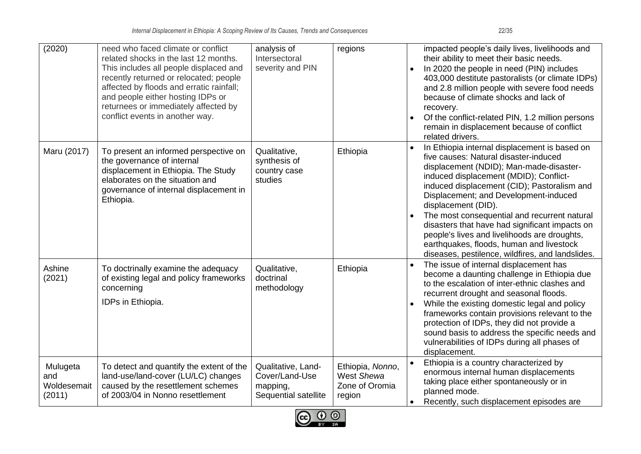| (2020)                                   | need who faced climate or conflict<br>related shocks in the last 12 months.<br>This includes all people displaced and<br>recently returned or relocated; people<br>affected by floods and erratic rainfall;<br>and people either hosting IDPs or<br>returnees or immediately affected by<br>conflict events in another way. | analysis of<br>Intersectoral<br>severity and PIN                         | regions                                                    | impacted people's daily lives, livelihoods and<br>their ability to meet their basic needs.<br>In 2020 the people in need (PIN) includes<br>403,000 destitute pastoralists (or climate IDPs)<br>and 2.8 million people with severe food needs<br>because of climate shocks and lack of<br>recovery.<br>Of the conflict-related PIN, 1.2 million persons<br>remain in displacement because of conflict<br>related drivers.                                                                                                                     |
|------------------------------------------|-----------------------------------------------------------------------------------------------------------------------------------------------------------------------------------------------------------------------------------------------------------------------------------------------------------------------------|--------------------------------------------------------------------------|------------------------------------------------------------|----------------------------------------------------------------------------------------------------------------------------------------------------------------------------------------------------------------------------------------------------------------------------------------------------------------------------------------------------------------------------------------------------------------------------------------------------------------------------------------------------------------------------------------------|
| Maru (2017)                              | To present an informed perspective on<br>the governance of internal<br>displacement in Ethiopia. The Study<br>elaborates on the situation and<br>governance of internal displacement in<br>Ethiopia.                                                                                                                        | Qualitative,<br>synthesis of<br>country case<br>studies                  | Ethiopia                                                   | In Ethiopia internal displacement is based on<br>five causes: Natural disaster-induced<br>displacement (NDID); Man-made-disaster-<br>induced displacement (MDID); Conflict-<br>induced displacement (CID); Pastoralism and<br>Displacement; and Development-induced<br>displacement (DID).<br>The most consequential and recurrent natural<br>disasters that have had significant impacts on<br>people's lives and livelihoods are droughts,<br>earthquakes, floods, human and livestock<br>diseases, pestilence, wildfires, and landslides. |
| Ashine<br>(2021)                         | To doctrinally examine the adequacy<br>of existing legal and policy frameworks<br>concerning<br>IDPs in Ethiopia.                                                                                                                                                                                                           | Qualitative,<br>doctrinal<br>methodology                                 | Ethiopia                                                   | The issue of internal displacement has<br>become a daunting challenge in Ethiopia due<br>to the escalation of inter-ethnic clashes and<br>recurrent drought and seasonal floods.<br>While the existing domestic legal and policy<br>frameworks contain provisions relevant to the<br>protection of IDPs, they did not provide a<br>sound basis to address the specific needs and<br>vulnerabilities of IDPs during all phases of<br>displacement.                                                                                            |
| Mulugeta<br>and<br>Woldesemait<br>(2011) | To detect and quantify the extent of the<br>land-use/land-cover (LU/LC) changes<br>caused by the resettlement schemes<br>of 2003/04 in Nonno resettlement                                                                                                                                                                   | Qualitative, Land-<br>Cover/Land-Use<br>mapping,<br>Sequential satellite | Ethiopia, Nonno,<br>West Shewa<br>Zone of Oromia<br>region | Ethiopia is a country characterized by<br>enormous internal human displacements<br>taking place either spontaneously or in<br>planned mode.<br>Recently, such displacement episodes are                                                                                                                                                                                                                                                                                                                                                      |

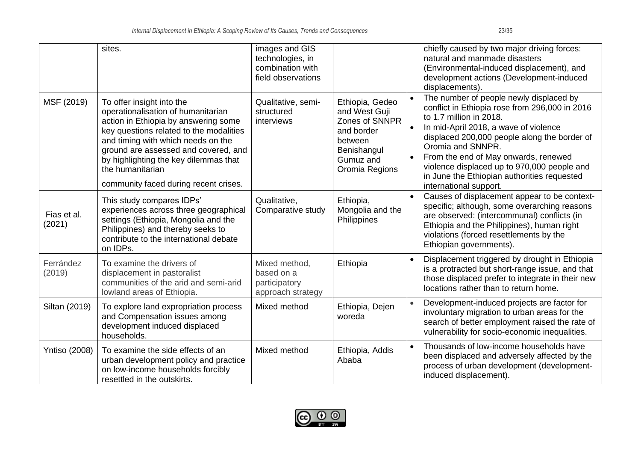|                       | sites.                                                                                                                                                                                                                                                                                                                                 | images and GIS<br>technologies, in<br>combination with<br>field observations |                                                                                                                           | chiefly caused by two major driving forces:<br>natural and manmade disasters<br>(Environmental-induced displacement), and<br>development actions (Development-induced<br>displacements).                                                                                                                                                                                                           |
|-----------------------|----------------------------------------------------------------------------------------------------------------------------------------------------------------------------------------------------------------------------------------------------------------------------------------------------------------------------------------|------------------------------------------------------------------------------|---------------------------------------------------------------------------------------------------------------------------|----------------------------------------------------------------------------------------------------------------------------------------------------------------------------------------------------------------------------------------------------------------------------------------------------------------------------------------------------------------------------------------------------|
| MSF (2019)            | To offer insight into the<br>operationalisation of humanitarian<br>action in Ethiopia by answering some<br>key questions related to the modalities<br>and timing with which needs on the<br>ground are assessed and covered, and<br>by highlighting the key dilemmas that<br>the humanitarian<br>community faced during recent crises. | Qualitative, semi-<br>structured<br>interviews                               | Ethiopia, Gedeo<br>and West Guji<br>Zones of SNNPR<br>and border<br>between<br>Benishangul<br>Gumuz and<br>Oromia Regions | The number of people newly displaced by<br>conflict in Ethiopia rose from 296,000 in 2016<br>to 1.7 million in 2018.<br>In mid-April 2018, a wave of violence<br>displaced 200,000 people along the border of<br>Oromia and SNNPR.<br>From the end of May onwards, renewed<br>violence displaced up to 970,000 people and<br>in June the Ethiopian authorities requested<br>international support. |
| Fias et al.<br>(2021) | This study compares IDPs'<br>experiences across three geographical<br>settings (Ethiopia, Mongolia and the<br>Philippines) and thereby seeks to<br>contribute to the international debate<br>on IDPs.                                                                                                                                  | Qualitative,<br>Comparative study                                            | Ethiopia,<br>Mongolia and the<br>Philippines                                                                              | Causes of displacement appear to be context-<br>specific; although, some overarching reasons<br>are observed: (intercommunal) conflicts (in<br>Ethiopia and the Philippines), human right<br>violations (forced resettlements by the<br>Ethiopian governments).                                                                                                                                    |
| Ferrández<br>(2019)   | To examine the drivers of<br>displacement in pastoralist<br>communities of the arid and semi-arid<br>lowland areas of Ethiopia.                                                                                                                                                                                                        | Mixed method,<br>based on a<br>participatory<br>approach strategy            | Ethiopia                                                                                                                  | Displacement triggered by drought in Ethiopia<br>is a protracted but short-range issue, and that<br>those displaced prefer to integrate in their new<br>locations rather than to return home.                                                                                                                                                                                                      |
| Siltan (2019)         | To explore land expropriation process<br>and Compensation issues among<br>development induced displaced<br>households.                                                                                                                                                                                                                 | Mixed method                                                                 | Ethiopia, Dejen<br>woreda                                                                                                 | Development-induced projects are factor for<br>involuntary migration to urban areas for the<br>search of better employment raised the rate of<br>vulnerability for socio-economic inequalities.                                                                                                                                                                                                    |
| <b>Yntiso (2008)</b>  | To examine the side effects of an<br>urban development policy and practice<br>on low-income households forcibly<br>resettled in the outskirts.                                                                                                                                                                                         | Mixed method                                                                 | Ethiopia, Addis<br>Ababa                                                                                                  | Thousands of low-income households have<br>$\bullet$<br>been displaced and adversely affected by the<br>process of urban development (development-<br>induced displacement).                                                                                                                                                                                                                       |

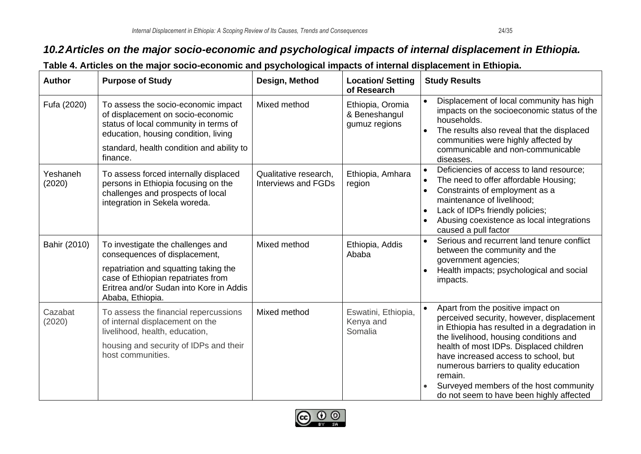#### *10.2Articles on the major socio-economic and psychological impacts of internal displacement in Ethiopia.*

<span id="page-23-0"></span>

| <b>Author</b>      | <b>Purpose of Study</b>                                                                                                                                                                                            | Design, Method                                      | <b>Location/Setting</b><br>of Research             | <b>Study Results</b>                                                                                                                                                                                                                                                                                                                                                                                   |
|--------------------|--------------------------------------------------------------------------------------------------------------------------------------------------------------------------------------------------------------------|-----------------------------------------------------|----------------------------------------------------|--------------------------------------------------------------------------------------------------------------------------------------------------------------------------------------------------------------------------------------------------------------------------------------------------------------------------------------------------------------------------------------------------------|
| Fufa (2020)        | To assess the socio-economic impact<br>of displacement on socio-economic<br>status of local community in terms of<br>education, housing condition, living<br>standard, health condition and ability to<br>finance. | Mixed method                                        | Ethiopia, Oromia<br>& Beneshangul<br>gumuz regions | Displacement of local community has high<br>impacts on the socioeconomic status of the<br>households.<br>The results also reveal that the displaced<br>communities were highly affected by<br>communicable and non-communicable<br>diseases.                                                                                                                                                           |
| Yeshaneh<br>(2020) | To assess forced internally displaced<br>persons in Ethiopia focusing on the<br>challenges and prospects of local<br>integration in Sekela woreda.                                                                 | Qualitative research,<br><b>Interviews and FGDs</b> | Ethiopia, Amhara<br>region                         | Deficiencies of access to land resource;<br>The need to offer affordable Housing;<br>Constraints of employment as a<br>maintenance of livelihood;<br>Lack of IDPs friendly policies;<br>Abusing coexistence as local integrations<br>caused a pull factor                                                                                                                                              |
| Bahir (2010)       | To investigate the challenges and<br>consequences of displacement,<br>repatriation and squatting taking the<br>case of Ethiopian repatriates from<br>Eritrea and/or Sudan into Kore in Addis<br>Ababa, Ethiopia.   | Mixed method                                        | Ethiopia, Addis<br>Ababa                           | Serious and recurrent land tenure conflict<br>$\bullet$<br>between the community and the<br>government agencies;<br>Health impacts; psychological and social<br>impacts.                                                                                                                                                                                                                               |
| Cazabat<br>(2020)  | To assess the financial repercussions<br>of internal displacement on the<br>livelihood, health, education,<br>housing and security of IDPs and their<br>host communities.                                          | Mixed method                                        | Eswatini, Ethiopia,<br>Kenya and<br>Somalia        | Apart from the positive impact on<br>perceived security, however, displacement<br>in Ethiopia has resulted in a degradation in<br>the livelihood, housing conditions and<br>health of most IDPs. Displaced children<br>have increased access to school, but<br>numerous barriers to quality education<br>remain.<br>Surveyed members of the host community<br>do not seem to have been highly affected |

#### **Table 4. Articles on the major socio-economic and psychological impacts of internal displacement in Ethiopia.**

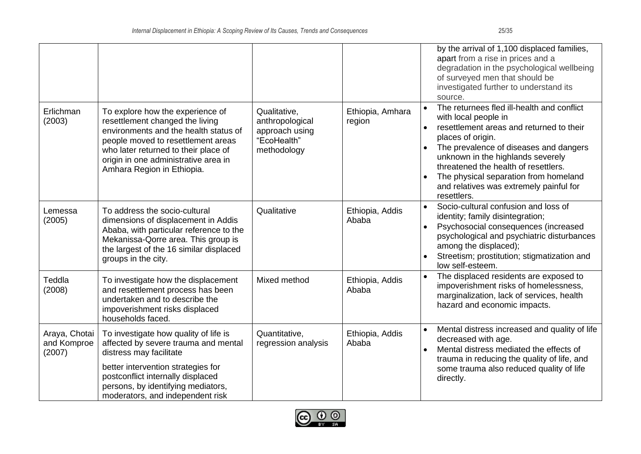| Erlichman                              | To explore how the experience of                                                                                                                                                                                                                              | Qualitative,                                                    | Ethiopia, Amhara         | by the arrival of 1,100 displaced families,<br>apart from a rise in prices and a<br>degradation in the psychological wellbeing<br>of surveyed men that should be<br>investigated further to understand its<br>source.<br>The returnees fled ill-health and conflict<br>$\bullet$                                             |
|----------------------------------------|---------------------------------------------------------------------------------------------------------------------------------------------------------------------------------------------------------------------------------------------------------------|-----------------------------------------------------------------|--------------------------|------------------------------------------------------------------------------------------------------------------------------------------------------------------------------------------------------------------------------------------------------------------------------------------------------------------------------|
| (2003)                                 | resettlement changed the living<br>environments and the health status of<br>people moved to resettlement areas<br>who later returned to their place of<br>origin in one administrative area in<br>Amhara Region in Ethiopia.                                  | anthropological<br>approach using<br>"EcoHealth"<br>methodology | region                   | with local people in<br>resettlement areas and returned to their<br>$\bullet$<br>places of origin.<br>The prevalence of diseases and dangers<br>unknown in the highlands severely<br>threatened the health of resettlers.<br>The physical separation from homeland<br>and relatives was extremely painful for<br>resettlers. |
| Lemessa<br>(2005)                      | To address the socio-cultural<br>dimensions of displacement in Addis<br>Ababa, with particular reference to the<br>Mekanissa-Qorre area. This group is<br>the largest of the 16 similar displaced<br>groups in the city.                                      | Qualitative                                                     | Ethiopia, Addis<br>Ababa | Socio-cultural confusion and loss of<br>$\bullet$<br>identity; family disintegration;<br>Psychosocial consequences (increased<br>psychological and psychiatric disturbances<br>among the displaced);<br>Streetism; prostitution; stigmatization and<br>$\bullet$<br>low self-esteem.                                         |
| Teddla<br>(2008)                       | To investigate how the displacement<br>and resettlement process has been<br>undertaken and to describe the<br>impoverishment risks displaced<br>households faced.                                                                                             | Mixed method                                                    | Ethiopia, Addis<br>Ababa | The displaced residents are exposed to<br>$\bullet$<br>impoverishment risks of homelessness,<br>marginalization, lack of services, health<br>hazard and economic impacts.                                                                                                                                                    |
| Araya, Chotai<br>and Komproe<br>(2007) | To investigate how quality of life is<br>affected by severe trauma and mental<br>distress may facilitate<br>better intervention strategies for<br>postconflict internally displaced<br>persons, by identifying mediators,<br>moderators, and independent risk | Quantitative,<br>regression analysis                            | Ethiopia, Addis<br>Ababa | Mental distress increased and quality of life<br>$\bullet$<br>decreased with age.<br>Mental distress mediated the effects of<br>$\bullet$<br>trauma in reducing the quality of life, and<br>some trauma also reduced quality of life<br>directly.                                                                            |

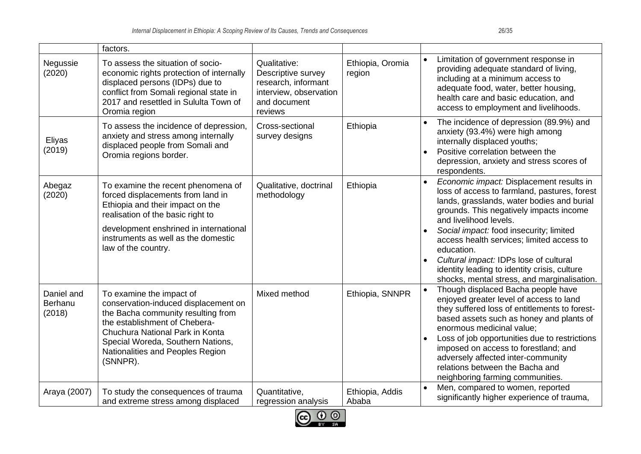|                                 | factors.                                                                                                                                                                                                                                                        |                                                                                                                |                            |                                                                                                                                                                                                                                                                                                                                                                                                                                                                         |
|---------------------------------|-----------------------------------------------------------------------------------------------------------------------------------------------------------------------------------------------------------------------------------------------------------------|----------------------------------------------------------------------------------------------------------------|----------------------------|-------------------------------------------------------------------------------------------------------------------------------------------------------------------------------------------------------------------------------------------------------------------------------------------------------------------------------------------------------------------------------------------------------------------------------------------------------------------------|
| Negussie<br>(2020)              | To assess the situation of socio-<br>economic rights protection of internally<br>displaced persons (IDPs) due to<br>conflict from Somali regional state in<br>2017 and resettled in Sululta Town of<br>Oromia region                                            | Qualitative:<br>Descriptive survey<br>research, informant<br>interview, observation<br>and document<br>reviews | Ethiopia, Oromia<br>region | Limitation of government response in<br>providing adequate standard of living,<br>including at a minimum access to<br>adequate food, water, better housing,<br>health care and basic education, and<br>access to employment and livelihoods.                                                                                                                                                                                                                            |
| Eliyas<br>(2019)                | To assess the incidence of depression,<br>anxiety and stress among internally<br>displaced people from Somali and<br>Oromia regions border.                                                                                                                     | Cross-sectional<br>survey designs                                                                              | Ethiopia                   | The incidence of depression (89.9%) and<br>anxiety (93.4%) were high among<br>internally displaced youths;<br>Positive correlation between the<br>depression, anxiety and stress scores of<br>respondents.                                                                                                                                                                                                                                                              |
| Abegaz<br>(2020)                | To examine the recent phenomena of<br>forced displacements from land in<br>Ethiopia and their impact on the<br>realisation of the basic right to<br>development enshrined in international<br>instruments as well as the domestic<br>law of the country.        | Qualitative, doctrinal<br>methodology                                                                          | Ethiopia                   | Economic impact: Displacement results in<br>$\bullet$<br>loss of access to farmland, pastures, forest<br>lands, grasslands, water bodies and burial<br>grounds. This negatively impacts income<br>and livelihood levels.<br>Social impact: food insecurity; limited<br>access health services; limited access to<br>education.<br>Cultural impact: IDPs lose of cultural<br>identity leading to identity crisis, culture<br>shocks, mental stress, and marginalisation. |
| Daniel and<br>Berhanu<br>(2018) | To examine the impact of<br>conservation-induced displacement on<br>the Bacha community resulting from<br>the establishment of Chebera-<br>Chuchura National Park in Konta<br>Special Woreda, Southern Nations,<br>Nationalities and Peoples Region<br>(SNNPR). | Mixed method                                                                                                   | Ethiopia, SNNPR            | Though displaced Bacha people have<br>enjoyed greater level of access to land<br>they suffered loss of entitlements to forest-<br>based assets such as honey and plants of<br>enormous medicinal value;<br>Loss of job opportunities due to restrictions<br>imposed on access to forestland; and<br>adversely affected inter-community<br>relations between the Bacha and<br>neighboring farming communities.                                                           |
| Araya (2007)                    | To study the consequences of trauma<br>and extreme stress among displaced                                                                                                                                                                                       | Quantitative,<br>regression analysis                                                                           | Ethiopia, Addis<br>Ababa   | Men, compared to women, reported<br>$\bullet$<br>significantly higher experience of trauma,                                                                                                                                                                                                                                                                                                                                                                             |

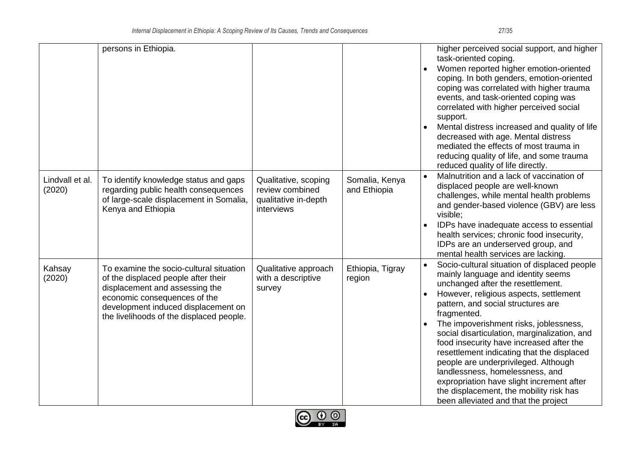|                           | persons in Ethiopia.                                                                                                                                                                                                                |                                                                               |                                | higher perceived social support, and higher<br>task-oriented coping.<br>Women reported higher emotion-oriented<br>coping. In both genders, emotion-oriented<br>coping was correlated with higher trauma<br>events, and task-oriented coping was<br>correlated with higher perceived social<br>support.<br>Mental distress increased and quality of life<br>decreased with age. Mental distress<br>mediated the effects of most trauma in<br>reducing quality of life, and some trauma<br>reduced quality of life directly.                                                                                            |
|---------------------------|-------------------------------------------------------------------------------------------------------------------------------------------------------------------------------------------------------------------------------------|-------------------------------------------------------------------------------|--------------------------------|-----------------------------------------------------------------------------------------------------------------------------------------------------------------------------------------------------------------------------------------------------------------------------------------------------------------------------------------------------------------------------------------------------------------------------------------------------------------------------------------------------------------------------------------------------------------------------------------------------------------------|
| Lindvall et al.<br>(2020) | To identify knowledge status and gaps<br>regarding public health consequences<br>of large-scale displacement in Somalia,<br>Kenya and Ethiopia                                                                                      | Qualitative, scoping<br>review combined<br>qualitative in-depth<br>interviews | Somalia, Kenya<br>and Ethiopia | Malnutrition and a lack of vaccination of<br>displaced people are well-known<br>challenges, while mental health problems<br>and gender-based violence (GBV) are less<br>visible;<br>IDPs have inadequate access to essential<br>health services; chronic food insecurity,<br>IDPs are an underserved group, and<br>mental health services are lacking.                                                                                                                                                                                                                                                                |
| Kahsay<br>(2020)          | To examine the socio-cultural situation<br>of the displaced people after their<br>displacement and assessing the<br>economic consequences of the<br>development induced displacement on<br>the livelihoods of the displaced people. | Qualitative approach<br>with a descriptive<br>survey                          | Ethiopia, Tigray<br>region     | Socio-cultural situation of displaced people<br>mainly language and identity seems<br>unchanged after the resettlement.<br>However, religious aspects, settlement<br>pattern, and social structures are<br>fragmented.<br>The impoverishment risks, joblessness,<br>social disarticulation, marginalization, and<br>food insecurity have increased after the<br>resettlement indicating that the displaced<br>people are underprivileged. Although<br>landlessness, homelessness, and<br>expropriation have slight increment after<br>the displacement, the mobility risk has<br>been alleviated and that the project |

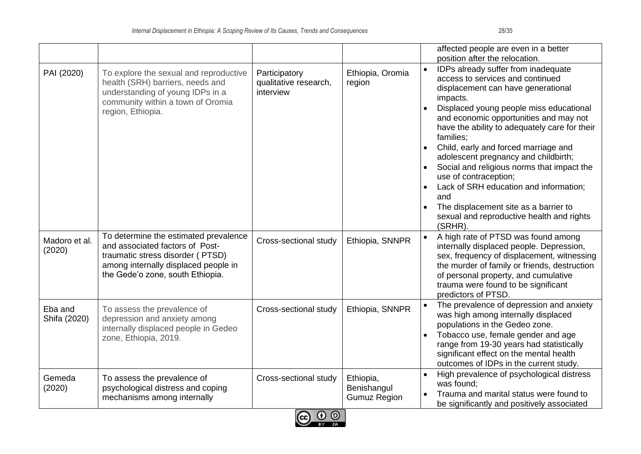|                         |                                                                                                                                                                                          |                                                     |                                                 | affected people are even in a better                                                                                                                                                                                                                                                                                                                                                                                                                                                                                                                                                                                    |
|-------------------------|------------------------------------------------------------------------------------------------------------------------------------------------------------------------------------------|-----------------------------------------------------|-------------------------------------------------|-------------------------------------------------------------------------------------------------------------------------------------------------------------------------------------------------------------------------------------------------------------------------------------------------------------------------------------------------------------------------------------------------------------------------------------------------------------------------------------------------------------------------------------------------------------------------------------------------------------------------|
| PAI (2020)              | To explore the sexual and reproductive<br>health (SRH) barriers, needs and<br>understanding of young IDPs in a<br>community within a town of Oromia<br>region, Ethiopia.                 | Participatory<br>qualitative research,<br>interview | Ethiopia, Oromia<br>region                      | position after the relocation.<br>IDPs already suffer from inadequate<br>access to services and continued<br>displacement can have generational<br>impacts.<br>Displaced young people miss educational<br>and economic opportunities and may not<br>have the ability to adequately care for their<br>families;<br>Child, early and forced marriage and<br>adolescent pregnancy and childbirth;<br>Social and religious norms that impact the<br>use of contraception;<br>Lack of SRH education and information;<br>and<br>The displacement site as a barrier to<br>sexual and reproductive health and rights<br>(SRHR). |
| Madoro et al.<br>(2020) | To determine the estimated prevalence<br>and associated factors of Post-<br>traumatic stress disorder (PTSD)<br>among internally displaced people in<br>the Gede'o zone, south Ethiopia. | Cross-sectional study                               | Ethiopia, SNNPR                                 | A high rate of PTSD was found among<br>internally displaced people. Depression,<br>sex, frequency of displacement, witnessing<br>the murder of family or friends, destruction<br>of personal property, and cumulative<br>trauma were found to be significant<br>predictors of PTSD.                                                                                                                                                                                                                                                                                                                                     |
| Eba and<br>Shifa (2020) | To assess the prevalence of<br>depression and anxiety among<br>internally displaced people in Gedeo<br>zone, Ethiopia, 2019.                                                             | Cross-sectional study                               | Ethiopia, SNNPR                                 | The prevalence of depression and anxiety<br>was high among internally displaced<br>populations in the Gedeo zone.<br>Tobacco use, female gender and age<br>range from 19-30 years had statistically<br>significant effect on the mental health<br>outcomes of IDPs in the current study.                                                                                                                                                                                                                                                                                                                                |
| Gemeda<br>(2020)        | To assess the prevalence of<br>psychological distress and coping<br>mechanisms among internally                                                                                          | Cross-sectional study<br>$\sim$ $\sim$ $\sim$       | Ethiopia,<br>Benishangul<br><b>Gumuz Region</b> | High prevalence of psychological distress<br>was found;<br>Trauma and marital status were found to<br>be significantly and positively associated                                                                                                                                                                                                                                                                                                                                                                                                                                                                        |

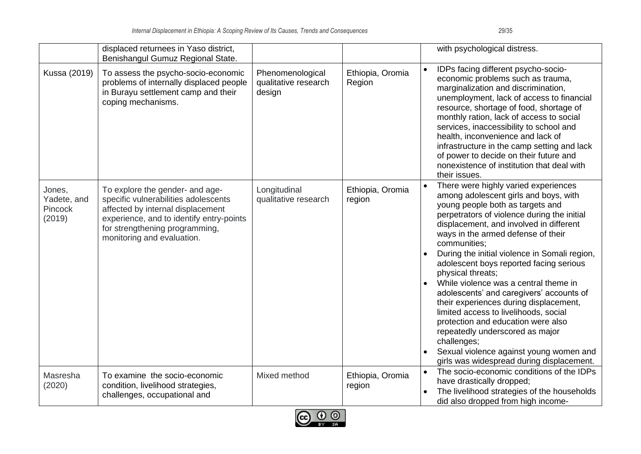|                                            | displaced returnees in Yaso district,<br>Benishangul Gumuz Regional State.                                                                                                                                               |                                                    |                            | with psychological distress.                                                                                                                                                                                                                                                                                                                                                                                                                                                                                                                                                                                                                                                                                                               |
|--------------------------------------------|--------------------------------------------------------------------------------------------------------------------------------------------------------------------------------------------------------------------------|----------------------------------------------------|----------------------------|--------------------------------------------------------------------------------------------------------------------------------------------------------------------------------------------------------------------------------------------------------------------------------------------------------------------------------------------------------------------------------------------------------------------------------------------------------------------------------------------------------------------------------------------------------------------------------------------------------------------------------------------------------------------------------------------------------------------------------------------|
| Kussa (2019)                               | To assess the psycho-socio-economic<br>problems of internally displaced people<br>in Burayu settlement camp and their<br>coping mechanisms.                                                                              | Phenomenological<br>qualitative research<br>design | Ethiopia, Oromia<br>Region | IDPs facing different psycho-socio-<br>economic problems such as trauma,<br>marginalization and discrimination,<br>unemployment, lack of access to financial<br>resource, shortage of food, shortage of<br>monthly ration, lack of access to social<br>services, inaccessibility to school and<br>health, inconvenience and lack of<br>infrastructure in the camp setting and lack<br>of power to decide on their future and<br>nonexistence of institution that deal with<br>their issues.                                                                                                                                                                                                                                                |
| Jones,<br>Yadete, and<br>Pincock<br>(2019) | To explore the gender- and age-<br>specific vulnerabilities adolescents<br>affected by internal displacement<br>experience, and to identify entry-points<br>for strengthening programming,<br>monitoring and evaluation. | Longitudinal<br>qualitative research               | Ethiopia, Oromia<br>region | There were highly varied experiences<br>among adolescent girls and boys, with<br>young people both as targets and<br>perpetrators of violence during the initial<br>displacement, and involved in different<br>ways in the armed defense of their<br>communities;<br>During the initial violence in Somali region,<br>adolescent boys reported facing serious<br>physical threats;<br>While violence was a central theme in<br>adolescents' and caregivers' accounts of<br>their experiences during displacement,<br>limited access to livelihoods, social<br>protection and education were also<br>repeatedly underscored as major<br>challenges;<br>Sexual violence against young women and<br>girls was widespread during displacement. |
| Masresha<br>(2020)                         | To examine the socio-economic<br>condition, livelihood strategies,<br>challenges, occupational and                                                                                                                       | Mixed method                                       | Ethiopia, Oromia<br>region | The socio-economic conditions of the IDPs<br>have drastically dropped;<br>The livelihood strategies of the households<br>did also dropped from high income-                                                                                                                                                                                                                                                                                                                                                                                                                                                                                                                                                                                |

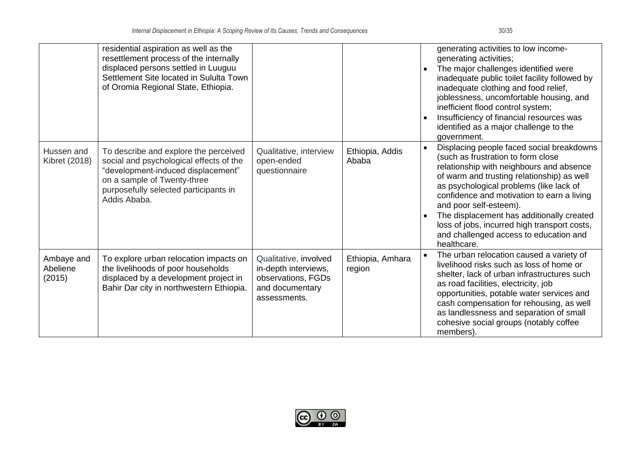|                                  | residential aspiration as well as the<br>resettlement process of the internally<br>displaced persons settled in Luuguu<br>Settlement Site located in Sululta Town<br>of Oromia Regional State, Ethiopia.       |                                                                                                        |                            | generating activities to low income-<br>generating activities;<br>The major challenges identified were<br>$\bullet$<br>inadequate public toilet facility followed by<br>inadequate clothing and food relief,<br>joblessness, uncomfortable housing, and<br>inefficient flood control system;<br>Insufficiency of financial resources was<br>identified as a major challenge to the<br>government.                                                  |
|----------------------------------|----------------------------------------------------------------------------------------------------------------------------------------------------------------------------------------------------------------|--------------------------------------------------------------------------------------------------------|----------------------------|----------------------------------------------------------------------------------------------------------------------------------------------------------------------------------------------------------------------------------------------------------------------------------------------------------------------------------------------------------------------------------------------------------------------------------------------------|
| Hussen and<br>Kibret (2018)      | To describe and explore the perceived<br>social and psychological effects of the<br>"development-induced displacement"<br>on a sample of Twenty-three<br>purposefully selected participants in<br>Addis Ababa. | Qualitative, interview<br>open-ended<br>questionnaire                                                  | Ethiopia, Addis<br>Ababa   | Displacing people faced social breakdowns<br>(such as frustration to form close<br>relationship with neighbours and absence<br>of warm and trusting relationship) as well<br>as psychological problems (like lack of<br>confidence and motivation to earn a living<br>and poor self-esteem).<br>The displacement has additionally created<br>loss of jobs, incurred high transport costs,<br>and challenged access to education and<br>healthcare. |
| Ambaye and<br>Abeliene<br>(2015) | To explore urban relocation impacts on<br>the livelihoods of poor households<br>displaced by a development project in<br>Bahir Dar city in northwestern Ethiopia.                                              | Qualitative, involved<br>in-depth interviews,<br>observations, FGDs<br>and documentary<br>assessments. | Ethiopia, Amhara<br>region | The urban relocation caused a variety of<br>livelihood risks such as loss of home or<br>shelter, lack of urban infrastructures such<br>as road facilities, electricity, job<br>opportunities, potable water services and<br>cash compensation for rehousing, as well<br>as landlessness and separation of small<br>cohesive social groups (notably coffee<br>members).                                                                             |

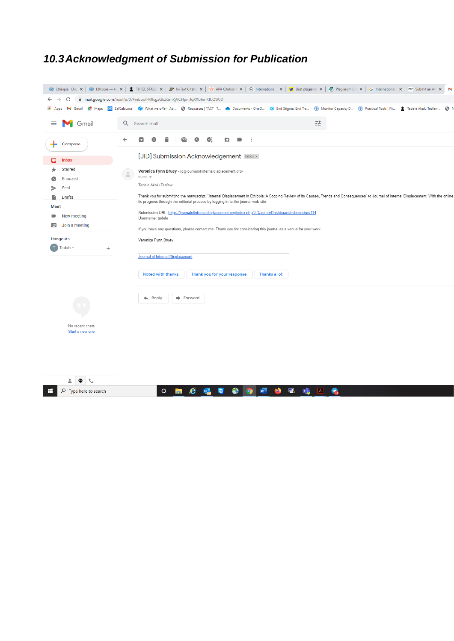## <span id="page-30-0"></span>*10.3Acknowledgment of Submission for Publication*

|                                                                                                                                                             | W Ethiopia   Dis; x   W Ethiopia - N: x   <u>●</u> THREE STAGE: x   ● In-Text Citatic x   ◆ APA Citation C x   ◆ International X   W Best plagiaris: x   ② Plagiarism Ch: x   G International   x  <br>PKP Submit an Art X<br>M |  |  |
|-------------------------------------------------------------------------------------------------------------------------------------------------------------|---------------------------------------------------------------------------------------------------------------------------------------------------------------------------------------------------------------------------------|--|--|
| C                                                                                                                                                           | mail.google.com/mail/u/0/#inbox/FMfcgzGkZGmKjVCHpmJqXXbhmKICQWJD                                                                                                                                                                |  |  |
|                                                                                                                                                             | ::: Apps M Gmail Rt Maps (3) SalCalcLocal (3) What we offer   Ab @ Resources   TACT   T @ Documents - OneD (3) End Stigma, End Tra (1) Monitor Capacity D (1) Practical Tools   FA 2 Tadele Akalu Tesfaw<br>⊙                   |  |  |
| Gmail<br>≡                                                                                                                                                  | 굝<br>$\alpha$<br>Search mail                                                                                                                                                                                                    |  |  |
| Compose                                                                                                                                                     | b<br>$\leftarrow$<br>о<br>$\widehat{\phantom{1}}$<br>Ø<br>$\blacksquare$<br>- :<br>O                                                                                                                                            |  |  |
| Ω<br><b>Inbox</b>                                                                                                                                           | [JID] Submission Acknowledgement Inbox x                                                                                                                                                                                        |  |  |
| Starred                                                                                                                                                     | Veronica Fynn Bruey <jid@journalofinternaldisplacement.org></jid@journalofinternaldisplacement.org>                                                                                                                             |  |  |
| Snoozed                                                                                                                                                     | to me -                                                                                                                                                                                                                         |  |  |
| Sent                                                                                                                                                        | Tadele Akalu Tesfaw:                                                                                                                                                                                                            |  |  |
| Drafts<br>n                                                                                                                                                 | Thank you for submitting the manuscript, "Internal Displacement in Ethiopia: A Scoping Review of its Causes, Trends and Consequences" to Journal of Internal Displacement. With the online                                      |  |  |
| Meet                                                                                                                                                        | its progress through the editorial process by logging in to the journal web site:                                                                                                                                               |  |  |
| Submission URL: https://journalofinternaldisplacement.org/index.php/JID/authorDashboard/submission/114<br>$\blacksquare$<br>New meeting<br>Username: tadele |                                                                                                                                                                                                                                 |  |  |
| ▦<br>Join a meeting                                                                                                                                         |                                                                                                                                                                                                                                 |  |  |
|                                                                                                                                                             | If you have any questions, please contact me. Thank you for considering this journal as a venue for your work.                                                                                                                  |  |  |
| Hangouts                                                                                                                                                    | Veronica Fynn Bruey                                                                                                                                                                                                             |  |  |
| $\blacksquare$ Tadele $\triangledown$<br>$^{+}$                                                                                                             |                                                                                                                                                                                                                                 |  |  |
|                                                                                                                                                             | <b>Journal of Internal Displacement</b>                                                                                                                                                                                         |  |  |
|                                                                                                                                                             | Noted with thanks.<br>Thank you for your response.<br>Thanks a lot.                                                                                                                                                             |  |  |
|                                                                                                                                                             |                                                                                                                                                                                                                                 |  |  |
|                                                                                                                                                             | $\leftarrow$ Reply<br>Forward                                                                                                                                                                                                   |  |  |
|                                                                                                                                                             |                                                                                                                                                                                                                                 |  |  |
|                                                                                                                                                             |                                                                                                                                                                                                                                 |  |  |
| No recent chats<br>Start a new one                                                                                                                          |                                                                                                                                                                                                                                 |  |  |
|                                                                                                                                                             |                                                                                                                                                                                                                                 |  |  |
|                                                                                                                                                             |                                                                                                                                                                                                                                 |  |  |
|                                                                                                                                                             |                                                                                                                                                                                                                                 |  |  |
|                                                                                                                                                             |                                                                                                                                                                                                                                 |  |  |
|                                                                                                                                                             |                                                                                                                                                                                                                                 |  |  |
| Φ<br>t.                                                                                                                                                     |                                                                                                                                                                                                                                 |  |  |
| Q<br>Type here to search                                                                                                                                    | $\circ$<br>e<br>l Al                                                                                                                                                                                                            |  |  |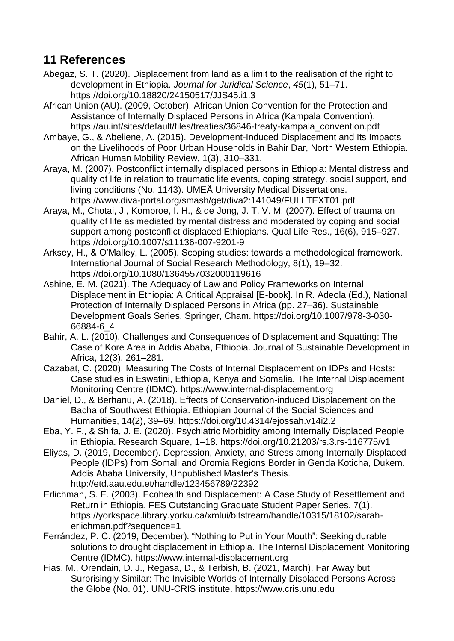## <span id="page-31-0"></span>**11 References**

- Abegaz, S. T. (2020). Displacement from land as a limit to the realisation of the right to development in Ethiopia. *Journal for Juridical Science*, *45*(1), 51–71. https://doi.org/10.18820/24150517/JJS45.i1.3
- African Union (AU). (2009, October). African Union Convention for the Protection and Assistance of Internally Displaced Persons in Africa (Kampala Convention). https://au.int/sites/default/files/treaties/36846-treaty-kampala\_convention.pdf
- Ambaye, G., & Abeliene, A. (2015). Development-Induced Displacement and Its Impacts on the Livelihoods of Poor Urban Households in Bahir Dar, North Western Ethiopia. African Human Mobility Review, 1(3), 310–331.
- Araya, M. (2007). Postconflict internally displaced persons in Ethiopia: Mental distress and quality of life in relation to traumatic life events, coping strategy, social support, and living conditions (No. 1143). UMEÅ University Medical Dissertations. https://www.diva-portal.org/smash/get/diva2:141049/FULLTEXT01.pdf
- Araya, M., Chotai, J., Komproe, I. H., & de Jong, J. T. V. M. (2007). Effect of trauma on quality of life as mediated by mental distress and moderated by coping and social support among postconflict displaced Ethiopians. Qual Life Res., 16(6), 915–927. https://doi.org/10.1007/s11136-007-9201-9
- Arksey, H., & O'Malley, L. (2005). Scoping studies: towards a methodological framework. International Journal of Social Research Methodology, 8(1), 19–32. https://doi.org/10.1080/1364557032000119616
- Ashine, E. M. (2021). The Adequacy of Law and Policy Frameworks on Internal Displacement in Ethiopia: A Critical Appraisal [E-book]. In R. Adeola (Ed.), National Protection of Internally Displaced Persons in Africa (pp. 27–36). Sustainable Development Goals Series. Springer, Cham. https://doi.org/10.1007/978-3-030- 66884-6\_4
- Bahir, A. L. (2010). Challenges and Consequences of Displacement and Squatting: The Case of Kore Area in Addis Ababa, Ethiopia. Journal of Sustainable Development in Africa, 12(3), 261–281.
- Cazabat, C. (2020). Measuring The Costs of Internal Displacement on IDPs and Hosts: Case studies in Eswatini, Ethiopia, Kenya and Somalia. The Internal Displacement Monitoring Centre (IDMC). https://www.internal-displacement.org
- Daniel, D., & Berhanu, A. (2018). Effects of Conservation-induced Displacement on the Bacha of Southwest Ethiopia. Ethiopian Journal of the Social Sciences and Humanities, 14(2), 39–69. https://doi.org/10.4314/ejossah.v14i2.2
- Eba, Y. F., & Shifa, J. E. (2020). Psychiatric Morbidity among Internally Displaced People in Ethiopia. Research Square, 1–18. https://doi.org/10.21203/rs.3.rs-116775/v1
- Eliyas, D. (2019, December). Depression, Anxiety, and Stress among Internally Displaced People (IDPs) from Somali and Oromia Regions Border in Genda Koticha, Dukem. Addis Ababa University, Unpublished Master's Thesis. http://etd.aau.edu.et/handle/123456789/22392
- Erlichman, S. E. (2003). Ecohealth and Displacement: A Case Study of Resettlement and Return in Ethiopia. FES Outstanding Graduate Student Paper Series, 7(1). https://yorkspace.library.yorku.ca/xmlui/bitstream/handle/10315/18102/saraherlichman.pdf?sequence=1
- Ferrández, P. C. (2019, December). "Nothing to Put in Your Mouth": Seeking durable solutions to drought displacement in Ethiopia. The Internal Displacement Monitoring Centre (IDMC). https://www.internal-displacement.org
- Fias, M., Orendain, D. J., Regasa, D., & Terbish, B. (2021, March). Far Away but Surprisingly Similar: The Invisible Worlds of Internally Displaced Persons Across the Globe (No. 01). UNU-CRIS institute. https://www.cris.unu.edu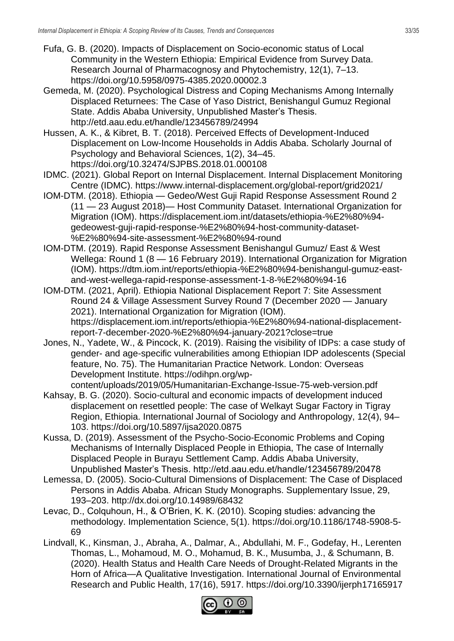- Fufa, G. B. (2020). Impacts of Displacement on Socio-economic status of Local Community in the Western Ethiopia: Empirical Evidence from Survey Data. Research Journal of Pharmacognosy and Phytochemistry, 12(1), 7–13. https://doi.org/10.5958/0975-4385.2020.00002.3
- Gemeda, M. (2020). Psychological Distress and Coping Mechanisms Among Internally Displaced Returnees: The Case of Yaso District, Benishangul Gumuz Regional State. Addis Ababa University, Unpublished Master's Thesis. http://etd.aau.edu.et/handle/123456789/24994
- Hussen, A. K., & Kibret, B. T. (2018). Perceived Effects of Development-Induced Displacement on Low-Income Households in Addis Ababa. Scholarly Journal of Psychology and Behavioral Sciences, 1(2), 34–45. https://doi.org/10.32474/SJPBS.2018.01.000108
- IDMC. (2021). Global Report on Internal Displacement. Internal Displacement Monitoring Centre (IDMC). https://www.internal-displacement.org/global-report/grid2021/
- IOM-DTM. (2018). Ethiopia Gedeo/West Guji Rapid Response Assessment Round 2 (11 — 23 August 2018)— Host Community Dataset. International Organization for Migration (IOM). https://displacement.iom.int/datasets/ethiopia-%E2%80%94 gedeowest-guji-rapid-response-%E2%80%94-host-community-dataset- %E2%80%94-site-assessment-%E2%80%94-round
- IOM-DTM. (2019). Rapid Response Assessment Benishangul Gumuz/ East & West Wellega: Round 1 (8 — 16 February 2019). International Organization for Migration (IOM). https://dtm.iom.int/reports/ethiopia-%E2%80%94-benishangul-gumuz-eastand-west-wellega-rapid-response-assessment-1-8-%E2%80%94-16
- IOM-DTM. (2021, April). Ethiopia National Displacement Report 7: Site Assessment Round 24 & Village Assessment Survey Round 7 (December 2020 — January 2021). International Organization for Migration (IOM). https://displacement.iom.int/reports/ethiopia-%E2%80%94-national-displacementreport-7-december-2020-%E2%80%94-january-2021?close=true
- Jones, N., Yadete, W., & Pincock, K. (2019). Raising the visibility of IDPs: a case study of gender- and age-specific vulnerabilities among Ethiopian IDP adolescents (Special feature, No. 75). The Humanitarian Practice Network. London: Overseas Development Institute. https://odihpn.org/wp-

content/uploads/2019/05/Humanitarian-Exchange-Issue-75-web-version.pdf

- Kahsay, B. G. (2020). Socio-cultural and economic impacts of development induced displacement on resettled people: The case of Welkayt Sugar Factory in Tigray Region, Ethiopia. International Journal of Sociology and Anthropology, 12(4), 94– 103. https://doi.org/10.5897/ijsa2020.0875
- Kussa, D. (2019). Assessment of the Psycho-Socio-Economic Problems and Coping Mechanisms of Internally Displaced People in Ethiopia, The case of Internally Displaced People in Burayu Settlement Camp. Addis Ababa University, Unpublished Master's Thesis. http://etd.aau.edu.et/handle/123456789/20478
- Lemessa, D. (2005). Socio-Cultural Dimensions of Displacement: The Case of Displaced Persons in Addis Ababa. African Study Monographs. Supplementary Issue, 29, 193–203. http://dx.doi.org/10.14989/68432
- Levac, D., Colquhoun, H., & O'Brien, K. K. (2010). Scoping studies: advancing the methodology. Implementation Science, 5(1). https://doi.org/10.1186/1748-5908-5- 69
- Lindvall, K., Kinsman, J., Abraha, A., Dalmar, A., Abdullahi, M. F., Godefay, H., Lerenten Thomas, L., Mohamoud, M. O., Mohamud, B. K., Musumba, J., & Schumann, B. (2020). Health Status and Health Care Needs of Drought-Related Migrants in the Horn of Africa—A Qualitative Investigation. International Journal of Environmental Research and Public Health, 17(16), 5917. https://doi.org/10.3390/ijerph17165917

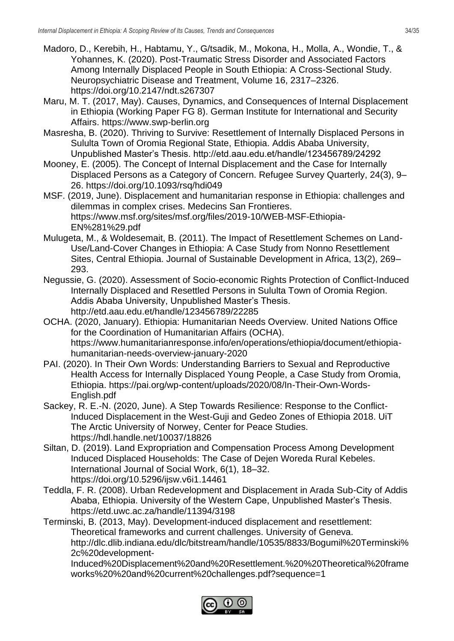- Madoro, D., Kerebih, H., Habtamu, Y., G/tsadik, M., Mokona, H., Molla, A., Wondie, T., & Yohannes, K. (2020). Post-Traumatic Stress Disorder and Associated Factors Among Internally Displaced People in South Ethiopia: A Cross-Sectional Study. Neuropsychiatric Disease and Treatment, Volume 16, 2317–2326. https://doi.org/10.2147/ndt.s267307
- Maru, M. T. (2017, May). Causes, Dynamics, and Consequences of Internal Displacement in Ethiopia (Working Paper FG 8). German Institute for International and Security Affairs. https://www.swp-berlin.org
- Masresha, B. (2020). Thriving to Survive: Resettlement of Internally Displaced Persons in Sululta Town of Oromia Regional State, Ethiopia. Addis Ababa University, Unpublished Master's Thesis. http://etd.aau.edu.et/handle/123456789/24292
- Mooney, E. (2005). The Concept of Internal Displacement and the Case for Internally Displaced Persons as a Category of Concern. Refugee Survey Quarterly, 24(3), 9– 26. https://doi.org/10.1093/rsq/hdi049
- MSF. (2019, June). Displacement and humanitarian response in Ethiopia: challenges and dilemmas in complex crises. Medecins San Frontieres. https://www.msf.org/sites/msf.org/files/2019-10/WEB-MSF-Ethiopia-EN%281%29.pdf
- Mulugeta, M., & Woldesemait, B. (2011). The Impact of Resettlement Schemes on Land-Use/Land-Cover Changes in Ethiopia: A Case Study from Nonno Resettlement Sites, Central Ethiopia. Journal of Sustainable Development in Africa, 13(2), 269– 293.
- Negussie, G. (2020). Assessment of Socio-economic Rights Protection of Conflict-Induced Internally Displaced and Resettled Persons in Sululta Town of Oromia Region. Addis Ababa University, Unpublished Master's Thesis. http://etd.aau.edu.et/handle/123456789/22285
- OCHA. (2020, January). Ethiopia: Humanitarian Needs Overview. United Nations Office for the Coordination of Humanitarian Affairs (OCHA). https://www.humanitarianresponse.info/en/operations/ethiopia/document/ethiopiahumanitarian-needs-overview-january-2020
- PAI. (2020). In Their Own Words: Understanding Barriers to Sexual and Reproductive Health Access for Internally Displaced Young People, a Case Study from Oromia, Ethiopia. https://pai.org/wp-content/uploads/2020/08/In-Their-Own-Words-English.pdf
- Sackey, R. E.-N. (2020, June). A Step Towards Resilience: Response to the Conflict-Induced Displacement in the West-Guji and Gedeo Zones of Ethiopia 2018. UiT The Arctic University of Norwey, Center for Peace Studies. https://hdl.handle.net/10037/18826
- Siltan, D. (2019). Land Expropriation and Compensation Process Among Development Induced Displaced Households: The Case of Dejen Woreda Rural Kebeles. International Journal of Social Work, 6(1), 18–32. https://doi.org/10.5296/ijsw.v6i1.14461
- Teddla, F. R. (2008). Urban Redevelopment and Displacement in Arada Sub-City of Addis Ababa, Ethiopia. University of the Western Cape, Unpublished Master's Thesis. https://etd.uwc.ac.za/handle/11394/3198
- Terminski, B. (2013, May). Development-induced displacement and resettlement: Theoretical frameworks and current challenges. University of Geneva. http://dlc.dlib.indiana.edu/dlc/bitstream/handle/10535/8833/Bogumil%20Terminski% 2c%20development-

Induced%20Displacement%20and%20Resettlement.%20%20Theoretical%20frame works%20%20and%20current%20challenges.pdf?sequence=1